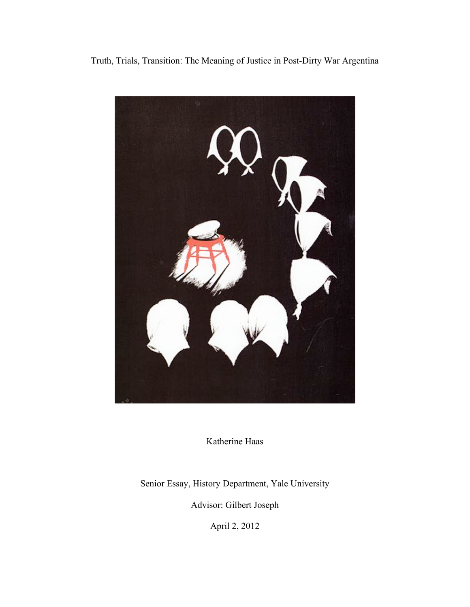# Truth, Trials, Transition: The Meaning of Justice in Post-Dirty War Argentina



Katherine Haas

Senior Essay, History Department, Yale University

Advisor: Gilbert Joseph

April 2, 2012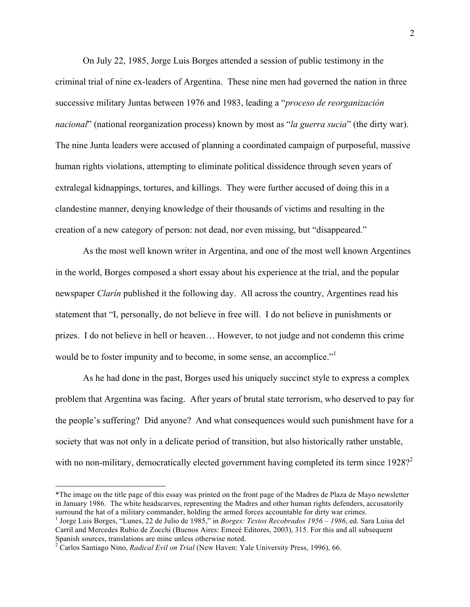On July 22, 1985, Jorge Luis Borges attended a session of public testimony in the criminal trial of nine ex-leaders of Argentina. These nine men had governed the nation in three successive military Juntas between 1976 and 1983, leading a "*proceso de reorganización nacional*" (national reorganization process) known by most as "*la guerra sucia*" (the dirty war). The nine Junta leaders were accused of planning a coordinated campaign of purposeful, massive human rights violations, attempting to eliminate political dissidence through seven years of extralegal kidnappings, tortures, and killings. They were further accused of doing this in a clandestine manner, denying knowledge of their thousands of victims and resulting in the creation of a new category of person: not dead, nor even missing, but "disappeared."

As the most well known writer in Argentina, and one of the most well known Argentines in the world, Borges composed a short essay about his experience at the trial, and the popular newspaper *Clarín* published it the following day. All across the country, Argentines read his statement that "I, personally, do not believe in free will. I do not believe in punishments or prizes. I do not believe in hell or heaven… However, to not judge and not condemn this crime would be to foster impunity and to become, in some sense, an accomplice."

As he had done in the past, Borges used his uniquely succinct style to express a complex problem that Argentina was facing. After years of brutal state terrorism, who deserved to pay for the people's suffering? Did anyone? And what consequences would such punishment have for a society that was not only in a delicate period of transition, but also historically rather unstable, with no non-military, democratically elected government having completed its term since  $1928$ ?

!!!!!!!!!!!!!!!!!!!!!!!!!!!!!!!!!!!!!!!!!!!!!!!!!!!!!!!

<sup>\*</sup>The image on the title page of this essay was printed on the front page of the Madres de Plaza de Mayo newsletter in January 1986. The white headscarves, representing the Madres and other human rights defenders, accusatorily surround the hat of a military commander, holding the armed forces accountable for dirty war crimes.

<sup>&</sup>lt;sup>1</sup> Jorge Luis Borges, "Lunes, 22 de Julio de 1985," in *Borges: Textos Recobrados 1956 – 1986*, ed. Sara Luisa del Carril and Mercedes Rubio de Zocchi (Buenos Aires: Emecé Editores, 2003), 315. For this and all subsequent Spanish sources, translations are mine unless otherwise noted.

<sup>2</sup> Carlos Santiago Nino, *Radical Evil on Trial* (New Haven: Yale University Press, 1996), 66.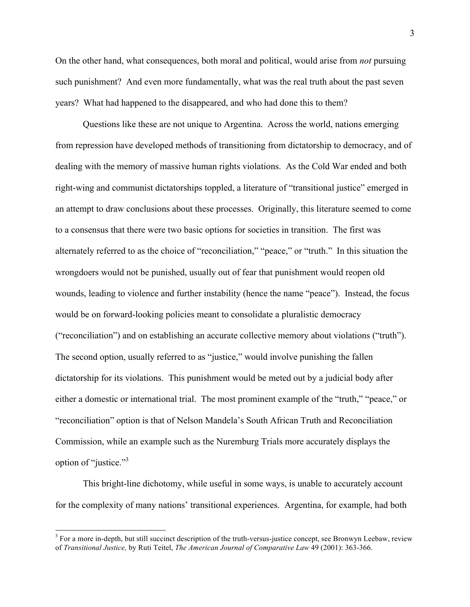On the other hand, what consequences, both moral and political, would arise from *not* pursuing such punishment? And even more fundamentally, what was the real truth about the past seven years? What had happened to the disappeared, and who had done this to them?

Questions like these are not unique to Argentina. Across the world, nations emerging from repression have developed methods of transitioning from dictatorship to democracy, and of dealing with the memory of massive human rights violations. As the Cold War ended and both right-wing and communist dictatorships toppled, a literature of "transitional justice" emerged in an attempt to draw conclusions about these processes. Originally, this literature seemed to come to a consensus that there were two basic options for societies in transition. The first was alternately referred to as the choice of "reconciliation," "peace," or "truth." In this situation the wrongdoers would not be punished, usually out of fear that punishment would reopen old wounds, leading to violence and further instability (hence the name "peace"). Instead, the focus would be on forward-looking policies meant to consolidate a pluralistic democracy ("reconciliation") and on establishing an accurate collective memory about violations ("truth"). The second option, usually referred to as "justice," would involve punishing the fallen dictatorship for its violations. This punishment would be meted out by a judicial body after either a domestic or international trial. The most prominent example of the "truth," "peace," or "reconciliation" option is that of Nelson Mandela's South African Truth and Reconciliation Commission, while an example such as the Nuremburg Trials more accurately displays the option of "justice."<sup>3</sup>

This bright-line dichotomy, while useful in some ways, is unable to accurately account for the complexity of many nations' transitional experiences. Argentina, for example, had both

<sup>&</sup>lt;sup>3</sup> For a more in-depth, but still succinct description of the truth-versus-justice concept, see Bronwyn Leebaw, review of *Transitional Justice,* by Ruti Teitel, *The American Journal of Comparative Law* 49 (2001): 363-366.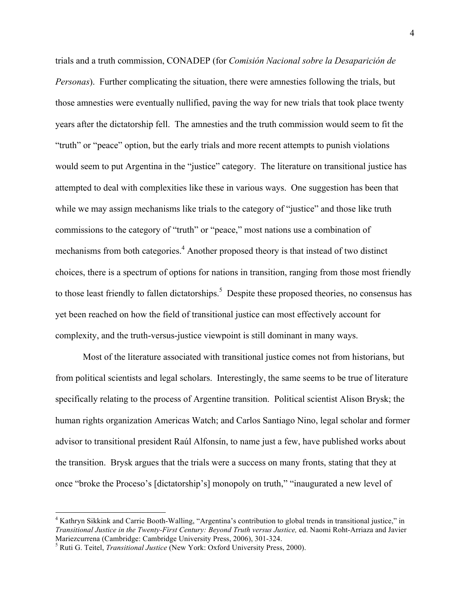trials and a truth commission, CONADEP (for *Comisión Nacional sobre la Desaparición de Personas*). Further complicating the situation, there were amnesties following the trials, but those amnesties were eventually nullified, paving the way for new trials that took place twenty years after the dictatorship fell. The amnesties and the truth commission would seem to fit the "truth" or "peace" option, but the early trials and more recent attempts to punish violations would seem to put Argentina in the "justice" category. The literature on transitional justice has attempted to deal with complexities like these in various ways. One suggestion has been that while we may assign mechanisms like trials to the category of "justice" and those like truth commissions to the category of "truth" or "peace," most nations use a combination of mechanisms from both categories.<sup>4</sup> Another proposed theory is that instead of two distinct choices, there is a spectrum of options for nations in transition, ranging from those most friendly to those least friendly to fallen dictatorships.<sup>5</sup> Despite these proposed theories, no consensus has yet been reached on how the field of transitional justice can most effectively account for complexity, and the truth-versus-justice viewpoint is still dominant in many ways.

Most of the literature associated with transitional justice comes not from historians, but from political scientists and legal scholars. Interestingly, the same seems to be true of literature specifically relating to the process of Argentine transition. Political scientist Alison Brysk; the human rights organization Americas Watch; and Carlos Santiago Nino, legal scholar and former advisor to transitional president Raúl Alfonsín, to name just a few, have published works about the transition. Brysk argues that the trials were a success on many fronts, stating that they at once "broke the Proceso's [dictatorship's] monopoly on truth," "inaugurated a new level of

<sup>&</sup>lt;sup>4</sup> Kathryn Sikkink and Carrie Booth-Walling, "Argentina's contribution to global trends in transitional justice," in *Transitional Justice in the Twenty-First Century: Beyond Truth versus Justice,* ed. Naomi Roht-Arriaza and Javier Mariezcurrena (Cambridge: Cambridge University Press, 2006), 301-324.

<sup>&</sup>lt;sup>5</sup> Ruti G. Teitel, *Transitional Justice* (New York: Oxford University Press, 2000).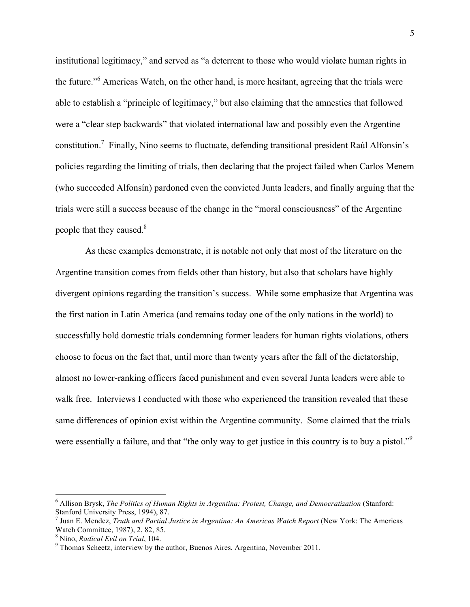institutional legitimacy," and served as "a deterrent to those who would violate human rights in the future."<sup>6</sup> Americas Watch, on the other hand, is more hesitant, agreeing that the trials were able to establish a "principle of legitimacy," but also claiming that the amnesties that followed were a "clear step backwards" that violated international law and possibly even the Argentine constitution.<sup>7</sup> Finally, Nino seems to fluctuate, defending transitional president Raúl Alfonsín's policies regarding the limiting of trials, then declaring that the project failed when Carlos Menem (who succeeded Alfonsín) pardoned even the convicted Junta leaders, and finally arguing that the trials were still a success because of the change in the "moral consciousness" of the Argentine people that they caused.<sup>8</sup>

 As these examples demonstrate, it is notable not only that most of the literature on the Argentine transition comes from fields other than history, but also that scholars have highly divergent opinions regarding the transition's success. While some emphasize that Argentina was the first nation in Latin America (and remains today one of the only nations in the world) to successfully hold domestic trials condemning former leaders for human rights violations, others choose to focus on the fact that, until more than twenty years after the fall of the dictatorship, almost no lower-ranking officers faced punishment and even several Junta leaders were able to walk free. Interviews I conducted with those who experienced the transition revealed that these same differences of opinion exist within the Argentine community. Some claimed that the trials were essentially a failure, and that "the only way to get justice in this country is to buy a pistol."<sup>9</sup>

ended a Allison Brysk, *The Politics of Human Rights in Argentina: Protest, Change, and Democratization* (Stanford: <sup>6</sup>) Stanford University Press, 1994), 87.

Juan E. Mendez, *Truth and Partial Justice in Argentina: An Americas Watch Report* (New York: The Americas Watch Committee, 1987), 2, 82, 85.

Nino, *Radical Evil on Trial*, 104. <sup>9</sup>

 $9$  Thomas Scheetz, interview by the author, Buenos Aires, Argentina, November 2011.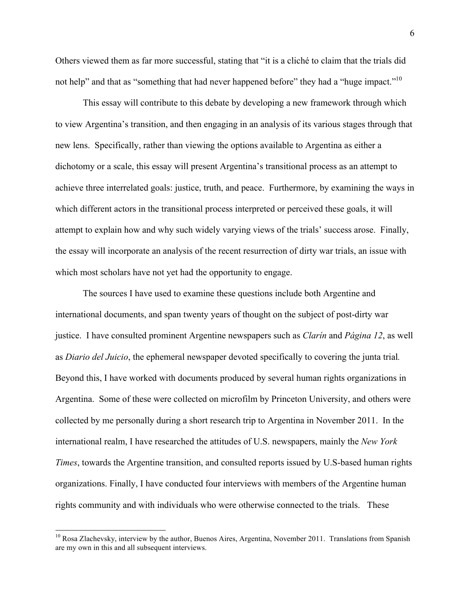Others viewed them as far more successful, stating that "it is a cliché to claim that the trials did not help" and that as "something that had never happened before" they had a "huge impact."<sup>10</sup>

This essay will contribute to this debate by developing a new framework through which to view Argentina's transition, and then engaging in an analysis of its various stages through that new lens. Specifically, rather than viewing the options available to Argentina as either a dichotomy or a scale, this essay will present Argentina's transitional process as an attempt to achieve three interrelated goals: justice, truth, and peace. Furthermore, by examining the ways in which different actors in the transitional process interpreted or perceived these goals, it will attempt to explain how and why such widely varying views of the trials' success arose. Finally, the essay will incorporate an analysis of the recent resurrection of dirty war trials, an issue with which most scholars have not yet had the opportunity to engage.

The sources I have used to examine these questions include both Argentine and international documents, and span twenty years of thought on the subject of post-dirty war justice. I have consulted prominent Argentine newspapers such as *Clarín* and *Página 12*, as well as *Diario del Juicio*, the ephemeral newspaper devoted specifically to covering the junta trial*.*  Beyond this, I have worked with documents produced by several human rights organizations in Argentina. Some of these were collected on microfilm by Princeton University, and others were collected by me personally during a short research trip to Argentina in November 2011. In the international realm, I have researched the attitudes of U.S. newspapers, mainly the *New York Times*, towards the Argentine transition, and consulted reports issued by U.S-based human rights organizations. Finally, I have conducted four interviews with members of the Argentine human rights community and with individuals who were otherwise connected to the trials. These

<sup>&</sup>lt;sup>10</sup> Rosa Zlachevsky, interview by the author, Buenos Aires, Argentina, November 2011. Translations from Spanish are my own in this and all subsequent interviews.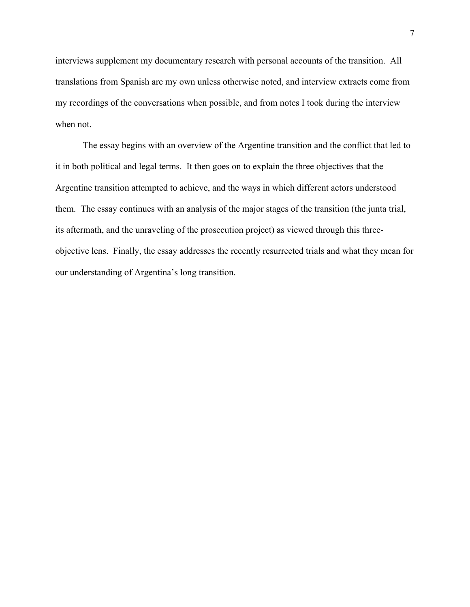interviews supplement my documentary research with personal accounts of the transition. All translations from Spanish are my own unless otherwise noted, and interview extracts come from my recordings of the conversations when possible, and from notes I took during the interview when not.

The essay begins with an overview of the Argentine transition and the conflict that led to it in both political and legal terms. It then goes on to explain the three objectives that the Argentine transition attempted to achieve, and the ways in which different actors understood them. The essay continues with an analysis of the major stages of the transition (the junta trial, its aftermath, and the unraveling of the prosecution project) as viewed through this threeobjective lens. Finally, the essay addresses the recently resurrected trials and what they mean for our understanding of Argentina's long transition.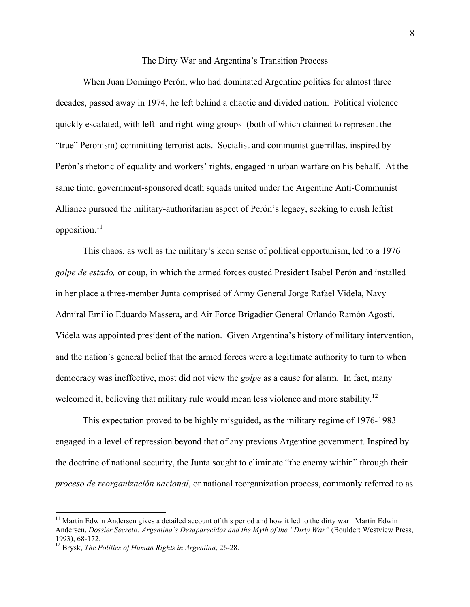#### The Dirty War and Argentina's Transition Process

When Juan Domingo Perón, who had dominated Argentine politics for almost three decades, passed away in 1974, he left behind a chaotic and divided nation. Political violence quickly escalated, with left- and right-wing groups (both of which claimed to represent the "true" Peronism) committing terrorist acts. Socialist and communist guerrillas, inspired by Perón's rhetoric of equality and workers' rights, engaged in urban warfare on his behalf. At the same time, government-sponsored death squads united under the Argentine Anti-Communist Alliance pursued the military-authoritarian aspect of Perón's legacy, seeking to crush leftist opposition. $^{11}$ 

This chaos, as well as the military's keen sense of political opportunism, led to a 1976 *golpe de estado,* or coup, in which the armed forces ousted President Isabel Perón and installed in her place a three-member Junta comprised of Army General Jorge Rafael Videla, Navy Admiral Emilio Eduardo Massera, and Air Force Brigadier General Orlando Ramón Agosti. Videla was appointed president of the nation. Given Argentina's history of military intervention, and the nation's general belief that the armed forces were a legitimate authority to turn to when democracy was ineffective, most did not view the *golpe* as a cause for alarm. In fact, many welcomed it, believing that military rule would mean less violence and more stability.<sup>12</sup>

This expectation proved to be highly misguided, as the military regime of 1976-1983 engaged in a level of repression beyond that of any previous Argentine government. Inspired by the doctrine of national security, the Junta sought to eliminate "the enemy within" through their *proceso de reorganización nacional*, or national reorganization process, commonly referred to as

 $11$  Martin Edwin Andersen gives a detailed account of this period and how it led to the dirty war. Martin Edwin Andersen, *Dossier Secreto: Argentina's Desaparecidos and the Myth of the "Dirty War"* (Boulder: Westview Press, 1993), 68-172. 12 Brysk, *The Politics of Human Rights in Argentina*, 26-28.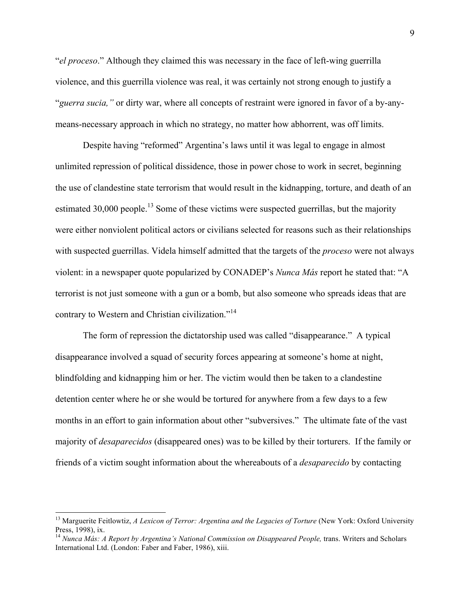"*el proceso*." Although they claimed this was necessary in the face of left-wing guerrilla violence, and this guerrilla violence was real, it was certainly not strong enough to justify a "*guerra sucia,"* or dirty war, where all concepts of restraint were ignored in favor of a by-anymeans-necessary approach in which no strategy, no matter how abhorrent, was off limits.

Despite having "reformed" Argentina's laws until it was legal to engage in almost unlimited repression of political dissidence, those in power chose to work in secret, beginning the use of clandestine state terrorism that would result in the kidnapping, torture, and death of an estimated 30,000 people.<sup>13</sup> Some of these victims were suspected guerrillas, but the majority were either nonviolent political actors or civilians selected for reasons such as their relationships with suspected guerrillas. Videla himself admitted that the targets of the *proceso* were not always violent: in a newspaper quote popularized by CONADEP's *Nunca Más* report he stated that: "A terrorist is not just someone with a gun or a bomb, but also someone who spreads ideas that are contrary to Western and Christian civilization."<sup>14</sup>

The form of repression the dictatorship used was called "disappearance." A typical disappearance involved a squad of security forces appearing at someone's home at night, blindfolding and kidnapping him or her. The victim would then be taken to a clandestine detention center where he or she would be tortured for anywhere from a few days to a few months in an effort to gain information about other "subversives." The ultimate fate of the vast majority of *desaparecidos* (disappeared ones) was to be killed by their torturers. If the family or friends of a victim sought information about the whereabouts of a *desaparecido* by contacting

<sup>&</sup>lt;sup>13</sup> Marguerite Feitlowtiz, *A Lexicon of Terror: Argentina and the Legacies of Torture* (New York: Oxford University Press, 1998), ix.<br><sup>14</sup> *Nunca Más: A Report by Argentina's National Commission on Disappeared People*, trans. Writers and Scholars

International Ltd. (London: Faber and Faber, 1986), xiii.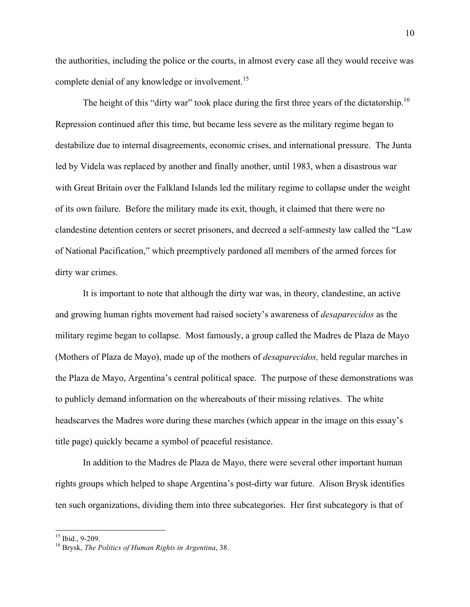the authorities, including the police or the courts, in almost every case all they would receive was complete denial of any knowledge or involvement.<sup>15</sup>

The height of this "dirty war" took place during the first three years of the dictatorship.<sup>16</sup> Repression continued after this time, but became less severe as the military regime began to destabilize due to internal disagreements, economic crises, and international pressure. The Junta led by Videla was replaced by another and finally another, until 1983, when a disastrous war with Great Britain over the Falkland Islands led the military regime to collapse under the weight of its own failure. Before the military made its exit, though, it claimed that there were no clandestine detention centers or secret prisoners, and decreed a self-amnesty law called the "Law of National Pacification," which preemptively pardoned all members of the armed forces for dirty war crimes.

It is important to note that although the dirty war was, in theory, clandestine, an active and growing human rights movement had raised society's awareness of *desaparecidos* as the military regime began to collapse. Most famously, a group called the Madres de Plaza de Mayo (Mothers of Plaza de Mayo), made up of the mothers of *desaparecidos,* held regular marches in the Plaza de Mayo, Argentina's central political space. The purpose of these demonstrations was to publicly demand information on the whereabouts of their missing relatives. The white headscarves the Madres wore during these marches (which appear in the image on this essay's title page) quickly became a symbol of peaceful resistance.

In addition to the Madres de Plaza de Mayo, there were several other important human rights groups which helped to shape Argentina's post-dirty war future. Alison Brysk identifies ten such organizations, dividing them into three subcategories. Her first subcategory is that of

<sup>&</sup>lt;sup>15</sup> Ibid., 9-209.<br><sup>16</sup> Brysk, *The Politics of Human Rights in Argentina*, 38.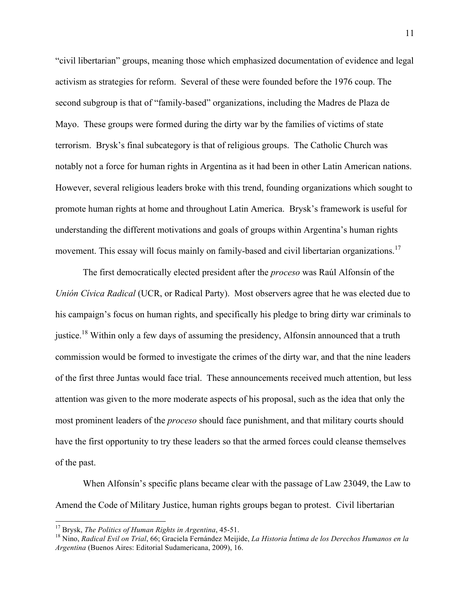"civil libertarian" groups, meaning those which emphasized documentation of evidence and legal activism as strategies for reform. Several of these were founded before the 1976 coup. The second subgroup is that of "family-based" organizations, including the Madres de Plaza de Mayo. These groups were formed during the dirty war by the families of victims of state terrorism. Brysk's final subcategory is that of religious groups. The Catholic Church was notably not a force for human rights in Argentina as it had been in other Latin American nations. However, several religious leaders broke with this trend, founding organizations which sought to promote human rights at home and throughout Latin America. Brysk's framework is useful for understanding the different motivations and goals of groups within Argentina's human rights movement. This essay will focus mainly on family-based and civil libertarian organizations.<sup>17</sup>

The first democratically elected president after the *proceso* was Raúl Alfonsín of the *Unión Cívica Radical* (UCR, or Radical Party). Most observers agree that he was elected due to his campaign's focus on human rights, and specifically his pledge to bring dirty war criminals to justice.<sup>18</sup> Within only a few days of assuming the presidency, Alfonsin announced that a truth commission would be formed to investigate the crimes of the dirty war, and that the nine leaders of the first three Juntas would face trial. These announcements received much attention, but less attention was given to the more moderate aspects of his proposal, such as the idea that only the most prominent leaders of the *proceso* should face punishment, and that military courts should have the first opportunity to try these leaders so that the armed forces could cleanse themselves of the past.

When Alfonsín's specific plans became clear with the passage of Law 23049, the Law to Amend the Code of Military Justice, human rights groups began to protest. Civil libertarian

<sup>&</sup>lt;sup>17</sup> Brysk, *The Politics of Human Rights in Argentina*, 45-51.<br><sup>18</sup> Nino, *Radical Evil on Trial*, 66; Graciela Fernández Meijide, *La Historia Íntima de los Derechos Humanos en la Argentina* (Buenos Aires: Editorial Sudamericana, 2009), 16.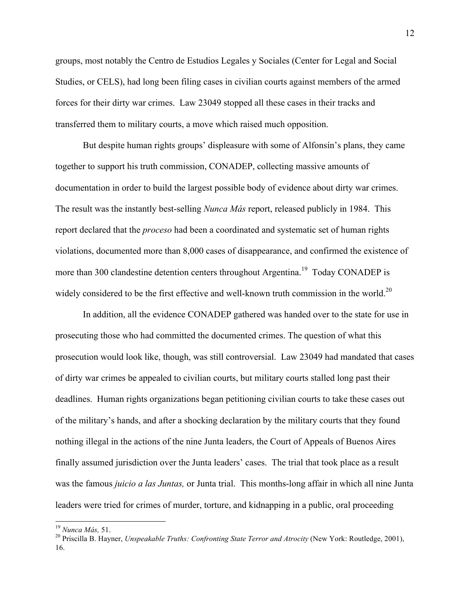groups, most notably the Centro de Estudios Legales y Sociales (Center for Legal and Social Studies, or CELS), had long been filing cases in civilian courts against members of the armed forces for their dirty war crimes. Law 23049 stopped all these cases in their tracks and transferred them to military courts, a move which raised much opposition.

But despite human rights groups' displeasure with some of Alfonsín's plans, they came together to support his truth commission, CONADEP, collecting massive amounts of documentation in order to build the largest possible body of evidence about dirty war crimes. The result was the instantly best-selling *Nunca Más* report, released publicly in 1984. This report declared that the *proceso* had been a coordinated and systematic set of human rights violations, documented more than 8,000 cases of disappearance, and confirmed the existence of more than 300 clandestine detention centers throughout Argentina.<sup>19</sup> Today CONADEP is widely considered to be the first effective and well-known truth commission in the world.<sup>20</sup>

In addition, all the evidence CONADEP gathered was handed over to the state for use in prosecuting those who had committed the documented crimes. The question of what this prosecution would look like, though, was still controversial. Law 23049 had mandated that cases of dirty war crimes be appealed to civilian courts, but military courts stalled long past their deadlines. Human rights organizations began petitioning civilian courts to take these cases out of the military's hands, and after a shocking declaration by the military courts that they found nothing illegal in the actions of the nine Junta leaders, the Court of Appeals of Buenos Aires finally assumed jurisdiction over the Junta leaders' cases. The trial that took place as a result was the famous *juicio a las Juntas,* or Junta trial. This months-long affair in which all nine Junta leaders were tried for crimes of murder, torture, and kidnapping in a public, oral proceeding

<sup>&</sup>lt;sup>19</sup> Nunca Más, 51.<br><sup>20</sup> Priscilla B. Hayner, *Unspeakable Truths: Confronting State Terror and Atrocity* (New York: Routledge, 2001), 16.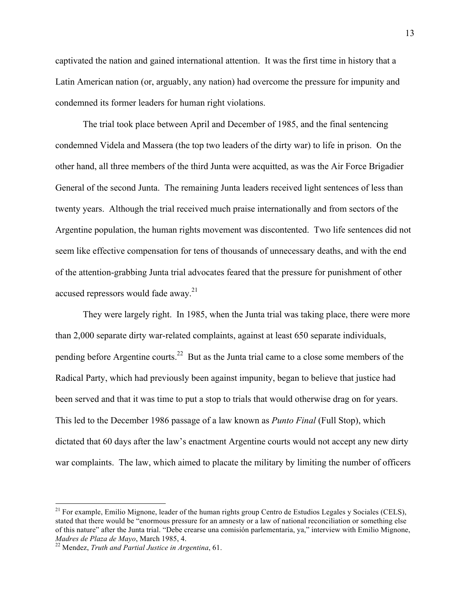captivated the nation and gained international attention. It was the first time in history that a Latin American nation (or, arguably, any nation) had overcome the pressure for impunity and condemned its former leaders for human right violations.

The trial took place between April and December of 1985, and the final sentencing condemned Videla and Massera (the top two leaders of the dirty war) to life in prison. On the other hand, all three members of the third Junta were acquitted, as was the Air Force Brigadier General of the second Junta. The remaining Junta leaders received light sentences of less than twenty years. Although the trial received much praise internationally and from sectors of the Argentine population, the human rights movement was discontented. Two life sentences did not seem like effective compensation for tens of thousands of unnecessary deaths, and with the end of the attention-grabbing Junta trial advocates feared that the pressure for punishment of other accused repressors would fade away.<sup>21</sup>

They were largely right. In 1985, when the Junta trial was taking place, there were more than 2,000 separate dirty war-related complaints, against at least 650 separate individuals, pending before Argentine courts.<sup>22</sup> But as the Junta trial came to a close some members of the Radical Party, which had previously been against impunity, began to believe that justice had been served and that it was time to put a stop to trials that would otherwise drag on for years. This led to the December 1986 passage of a law known as *Punto Final* (Full Stop), which dictated that 60 days after the law's enactment Argentine courts would not accept any new dirty war complaints. The law, which aimed to placate the military by limiting the number of officers

<sup>&</sup>lt;sup>21</sup> For example, Emilio Mignone, leader of the human rights group Centro de Estudios Legales y Sociales (CELS), stated that there would be "enormous pressure for an amnesty or a law of national reconciliation or something else of this nature" after the Junta trial. "Debe crearse una comisión parlementaria, ya," interview with Emilio Mignone, *Madres de Plaza de Mayo*, March 1985, 4. 22 Mendez, *Truth and Partial Justice in Argentina*, 61.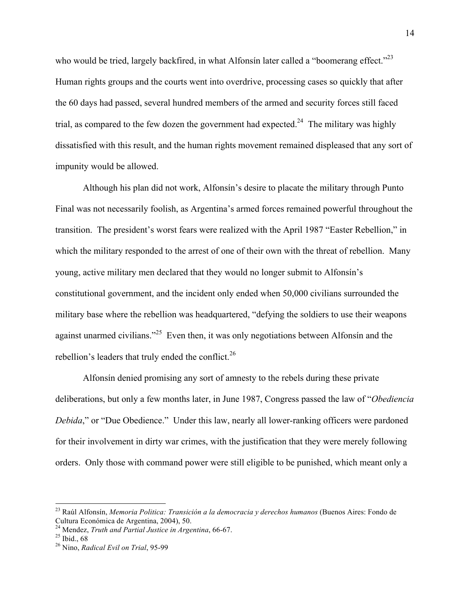who would be tried, largely backfired, in what Alfonsin later called a "boomerang effect." $^{23}$ Human rights groups and the courts went into overdrive, processing cases so quickly that after the 60 days had passed, several hundred members of the armed and security forces still faced trial, as compared to the few dozen the government had expected.<sup>24</sup> The military was highly dissatisfied with this result, and the human rights movement remained displeased that any sort of impunity would be allowed.

Although his plan did not work, Alfonsín's desire to placate the military through Punto Final was not necessarily foolish, as Argentina's armed forces remained powerful throughout the transition. The president's worst fears were realized with the April 1987 "Easter Rebellion," in which the military responded to the arrest of one of their own with the threat of rebellion. Many young, active military men declared that they would no longer submit to Alfonsín's constitutional government, and the incident only ended when 50,000 civilians surrounded the military base where the rebellion was headquartered, "defying the soldiers to use their weapons against unarmed civilians."<sup>25</sup> Even then, it was only negotiations between Alfonsin and the rebellion's leaders that truly ended the conflict.<sup>26</sup>

Alfonsín denied promising any sort of amnesty to the rebels during these private deliberations, but only a few months later, in June 1987, Congress passed the law of "*Obediencia Debida*," or "Due Obedience." Under this law, nearly all lower-ranking officers were pardoned for their involvement in dirty war crimes, with the justification that they were merely following orders. Only those with command power were still eligible to be punished, which meant only a

<sup>&</sup>lt;sup>23</sup> Raúl Alfonsín, *Memoria Politica: Transición a la democracia y derechos humanos* (Buenos Aires: Fondo de Cultura Económica de Argentina, 2004), 50.

<sup>&</sup>lt;sup>24</sup> Mendez, *Truth and Partial Justice in Argentina*, 66-67.<br><sup>25</sup> Ibid., 68

<sup>26</sup> Nino, *Radical Evil on Trial*, 95-99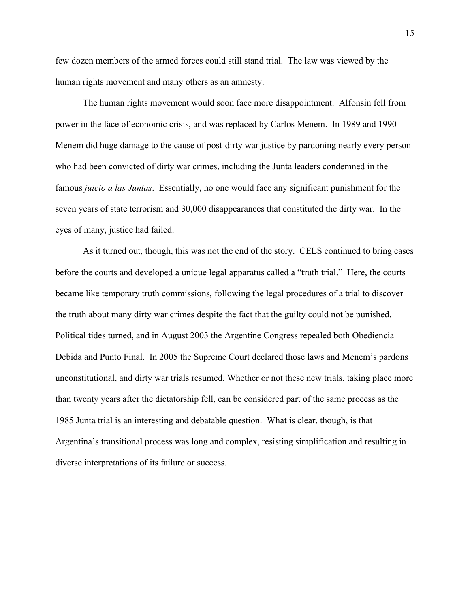few dozen members of the armed forces could still stand trial. The law was viewed by the human rights movement and many others as an amnesty.

The human rights movement would soon face more disappointment. Alfonsín fell from power in the face of economic crisis, and was replaced by Carlos Menem. In 1989 and 1990 Menem did huge damage to the cause of post-dirty war justice by pardoning nearly every person who had been convicted of dirty war crimes, including the Junta leaders condemned in the famous *juicio a las Juntas*. Essentially, no one would face any significant punishment for the seven years of state terrorism and 30,000 disappearances that constituted the dirty war. In the eyes of many, justice had failed.

As it turned out, though, this was not the end of the story. CELS continued to bring cases before the courts and developed a unique legal apparatus called a "truth trial." Here, the courts became like temporary truth commissions, following the legal procedures of a trial to discover the truth about many dirty war crimes despite the fact that the guilty could not be punished. Political tides turned, and in August 2003 the Argentine Congress repealed both Obediencia Debida and Punto Final. In 2005 the Supreme Court declared those laws and Menem's pardons unconstitutional, and dirty war trials resumed. Whether or not these new trials, taking place more than twenty years after the dictatorship fell, can be considered part of the same process as the 1985 Junta trial is an interesting and debatable question. What is clear, though, is that Argentina's transitional process was long and complex, resisting simplification and resulting in diverse interpretations of its failure or success.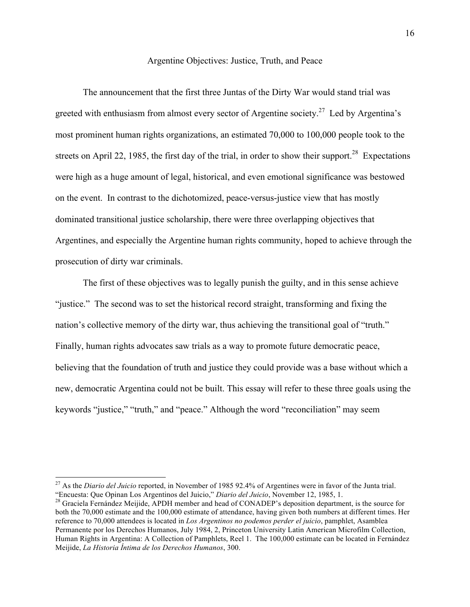Argentine Objectives: Justice, Truth, and Peace

The announcement that the first three Juntas of the Dirty War would stand trial was greeted with enthusiasm from almost every sector of Argentine society.<sup>27</sup> Led by Argentina's most prominent human rights organizations, an estimated 70,000 to 100,000 people took to the streets on April 22, 1985, the first day of the trial, in order to show their support.<sup>28</sup> Expectations were high as a huge amount of legal, historical, and even emotional significance was bestowed on the event. In contrast to the dichotomized, peace-versus-justice view that has mostly dominated transitional justice scholarship, there were three overlapping objectives that Argentines, and especially the Argentine human rights community, hoped to achieve through the prosecution of dirty war criminals.

The first of these objectives was to legally punish the guilty, and in this sense achieve "justice." The second was to set the historical record straight, transforming and fixing the nation's collective memory of the dirty war, thus achieving the transitional goal of "truth." Finally, human rights advocates saw trials as a way to promote future democratic peace, believing that the foundation of truth and justice they could provide was a base without which a new, democratic Argentina could not be built. This essay will refer to these three goals using the keywords "justice," "truth," and "peace." Although the word "reconciliation" may seem

<sup>&</sup>lt;sup>27</sup> As the *Diario del Juicio* reported, in November of 1985 92.4% of Argentines were in favor of the Junta trial.<br>"Encuesta: Que Opinan Los Argentinos del Juicio," *Diario del Juicio*, November 12, 1985, 1.

<sup>&</sup>lt;sup>28</sup> Graciela Fernández Meijide, APDH member and head of CONADEP's deposition department, is the source for both the 70,000 estimate and the 100,000 estimate of attendance, having given both numbers at different times. Her reference to 70,000 attendees is located in *Los Argentinos no podemos perder el juicio*, pamphlet, Asamblea Permanente por los Derechos Humanos, July 1984, 2, Princeton University Latin American Microfilm Collection, Human Rights in Argentina: A Collection of Pamphlets, Reel 1. The 100,000 estimate can be located in Fernández Meijide, *La Historia Íntima de los Derechos Humanos*, 300.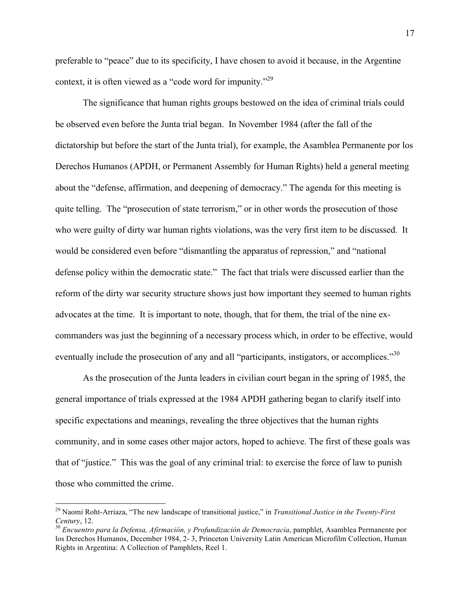preferable to "peace" due to its specificity, I have chosen to avoid it because, in the Argentine context, it is often viewed as a "code word for impunity."<sup>29</sup>

The significance that human rights groups bestowed on the idea of criminal trials could be observed even before the Junta trial began. In November 1984 (after the fall of the dictatorship but before the start of the Junta trial), for example, the Asamblea Permanente por los Derechos Humanos (APDH, or Permanent Assembly for Human Rights) held a general meeting about the "defense, affirmation, and deepening of democracy." The agenda for this meeting is quite telling. The "prosecution of state terrorism," or in other words the prosecution of those who were guilty of dirty war human rights violations, was the very first item to be discussed. It would be considered even before "dismantling the apparatus of repression," and "national defense policy within the democratic state." The fact that trials were discussed earlier than the reform of the dirty war security structure shows just how important they seemed to human rights advocates at the time. It is important to note, though, that for them, the trial of the nine excommanders was just the beginning of a necessary process which, in order to be effective, would eventually include the prosecution of any and all "participants, instigators, or accomplices."<sup>30</sup>

As the prosecution of the Junta leaders in civilian court began in the spring of 1985, the general importance of trials expressed at the 1984 APDH gathering began to clarify itself into specific expectations and meanings, revealing the three objectives that the human rights community, and in some cases other major actors, hoped to achieve. The first of these goals was that of "justice." This was the goal of any criminal trial: to exercise the force of law to punish those who committed the crime.

<sup>&</sup>lt;sup>29</sup> Naomi Roht-Arriaza, "The new landscape of transitional justice," in *Transitional Justice in the Twenty-First Century*, 12.

<sup>&</sup>lt;sup>30</sup> Encuentro para la Defensa, Afirmación, y Profundización de Democracia, pamphlet, Asamblea Permanente por los Derechos Humanos, December 1984, 2-3, Princeton University Latin American Microfilm Collection, Human Rights in Argentina: A Collection of Pamphlets, Reel 1.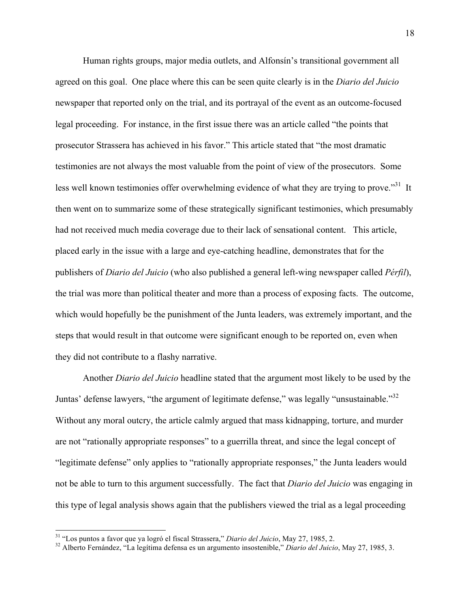Human rights groups, major media outlets, and Alfonsín's transitional government all agreed on this goal. One place where this can be seen quite clearly is in the *Diario del Juicio* newspaper that reported only on the trial, and its portrayal of the event as an outcome-focused legal proceeding. For instance, in the first issue there was an article called "the points that prosecutor Strassera has achieved in his favor." This article stated that "the most dramatic testimonies are not always the most valuable from the point of view of the prosecutors. Some less well known testimonies offer overwhelming evidence of what they are trying to prove."<sup>31</sup> It then went on to summarize some of these strategically significant testimonies, which presumably had not received much media coverage due to their lack of sensational content. This article, placed early in the issue with a large and eye-catching headline, demonstrates that for the publishers of *Diario del Juicio* (who also published a general left-wing newspaper called *Pérfil*), the trial was more than political theater and more than a process of exposing facts. The outcome, which would hopefully be the punishment of the Junta leaders, was extremely important, and the steps that would result in that outcome were significant enough to be reported on, even when they did not contribute to a flashy narrative.

Another *Diario del Juicio* headline stated that the argument most likely to be used by the Juntas' defense lawyers, "the argument of legitimate defense," was legally "unsustainable."<sup>32</sup> Without any moral outcry, the article calmly argued that mass kidnapping, torture, and murder are not "rationally appropriate responses" to a guerrilla threat, and since the legal concept of "legitimate defense" only applies to "rationally appropriate responses," the Junta leaders would not be able to turn to this argument successfully. The fact that *Diario del Juicio* was engaging in this type of legal analysis shows again that the publishers viewed the trial as a legal proceeding

<sup>&</sup>lt;sup>31</sup> "Los puntos a favor que ya logró el fiscal Strassera," *Diario del Juicio*, May 27, 1985, 2.<br><sup>32</sup> Alberto Fernández, "La legítima defensa es un argumento insostenible," *Diario del Juicio*, May 27, 1985, 3.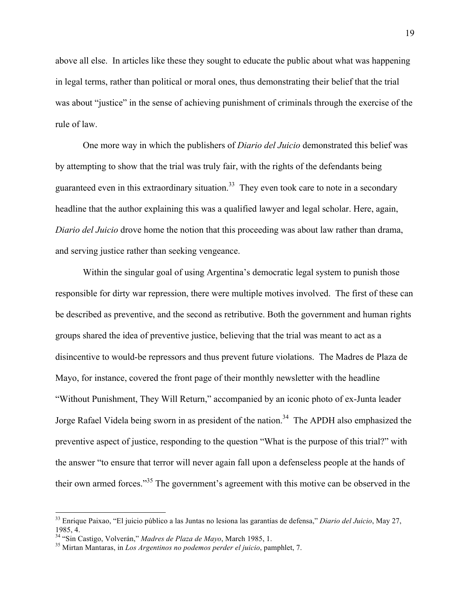above all else. In articles like these they sought to educate the public about what was happening in legal terms, rather than political or moral ones, thus demonstrating their belief that the trial was about "justice" in the sense of achieving punishment of criminals through the exercise of the rule of law.

One more way in which the publishers of *Diario del Juicio* demonstrated this belief was by attempting to show that the trial was truly fair, with the rights of the defendants being guaranteed even in this extraordinary situation.<sup>33</sup> They even took care to note in a secondary headline that the author explaining this was a qualified lawyer and legal scholar. Here, again, *Diario del Juicio* drove home the notion that this proceeding was about law rather than drama, and serving justice rather than seeking vengeance.

Within the singular goal of using Argentina's democratic legal system to punish those responsible for dirty war repression, there were multiple motives involved. The first of these can be described as preventive, and the second as retributive. Both the government and human rights groups shared the idea of preventive justice, believing that the trial was meant to act as a disincentive to would-be repressors and thus prevent future violations. The Madres de Plaza de Mayo, for instance, covered the front page of their monthly newsletter with the headline "Without Punishment, They Will Return," accompanied by an iconic photo of ex-Junta leader Jorge Rafael Videla being sworn in as president of the nation.<sup>34</sup> The APDH also emphasized the preventive aspect of justice, responding to the question "What is the purpose of this trial?" with the answer "to ensure that terror will never again fall upon a defenseless people at the hands of their own armed forces."35 The government's agreement with this motive can be observed in the

<sup>&</sup>lt;sup>33</sup> Enrique Paixao, "El juicio público a las Juntas no lesiona las garantías de defensa," *Diario del Juicio*, May 27, 1985, 4.<br><sup>34</sup> "Sin Castigo, Volverán," Madres de Plaza de Mayo, March 1985, 1.

<sup>&</sup>lt;sup>35</sup> Mirtan Mantaras, in *Los Argentinos no podemos perder el juicio*, pamphlet, 7.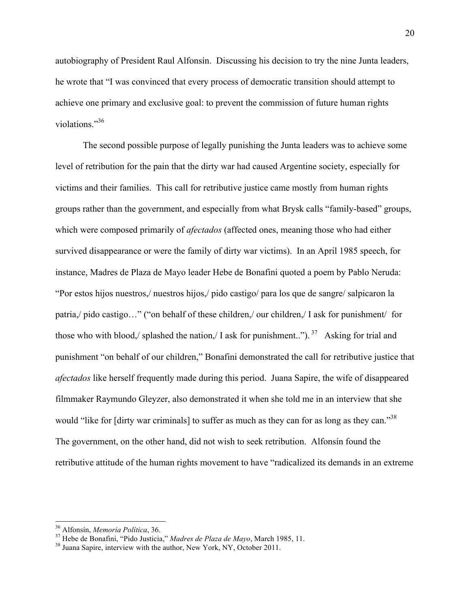autobiography of President Raul Alfonsín. Discussing his decision to try the nine Junta leaders, he wrote that "I was convinced that every process of democratic transition should attempt to achieve one primary and exclusive goal: to prevent the commission of future human rights violations."<sup>36</sup>

The second possible purpose of legally punishing the Junta leaders was to achieve some level of retribution for the pain that the dirty war had caused Argentine society, especially for victims and their families. This call for retributive justice came mostly from human rights groups rather than the government, and especially from what Brysk calls "family-based" groups, which were composed primarily of *afectados* (affected ones, meaning those who had either survived disappearance or were the family of dirty war victims). In an April 1985 speech, for instance, Madres de Plaza de Mayo leader Hebe de Bonafini quoted a poem by Pablo Neruda: "Por estos hijos nuestros,/ nuestros hijos,/ pido castigo/ para los que de sangre/ salpicaron la patria,/ pido castigo…" ("on behalf of these children,/ our children,/ I ask for punishment/ for those who with blood,/ splashed the nation,/ I ask for punishment..").  $37$  Asking for trial and punishment "on behalf of our children," Bonafini demonstrated the call for retributive justice that *afectados* like herself frequently made during this period. Juana Sapire, the wife of disappeared filmmaker Raymundo Gleyzer, also demonstrated it when she told me in an interview that she would "like for [dirty war criminals] to suffer as much as they can for as long as they can."<sup>38</sup> The government, on the other hand, did not wish to seek retribution. Alfonsín found the retributive attitude of the human rights movement to have "radicalized its demands in an extreme

<sup>&</sup>lt;sup>36</sup> Alfonsin, *Memoria Politica*, 36.<br><sup>37</sup> Hebe de Bonafini, "Pido Justicia," *Madres de Plaza de Mayo*, March 1985, 11.<br><sup>38</sup> Juana Sapire, interview with the author, New York, NY, October 2011.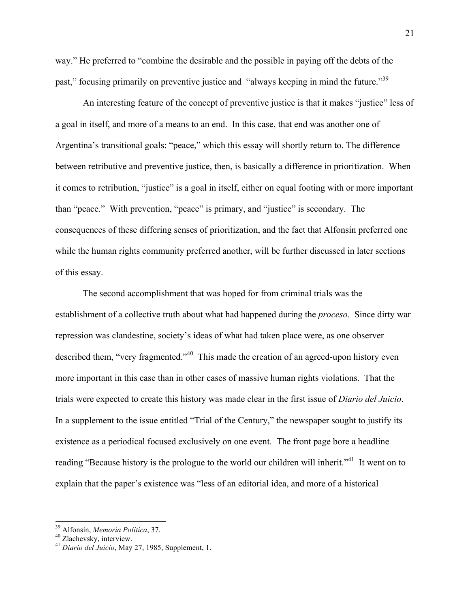way." He preferred to "combine the desirable and the possible in paying off the debts of the past," focusing primarily on preventive justice and "always keeping in mind the future."<sup>39</sup>

An interesting feature of the concept of preventive justice is that it makes "justice" less of a goal in itself, and more of a means to an end. In this case, that end was another one of Argentina's transitional goals: "peace," which this essay will shortly return to. The difference between retributive and preventive justice, then, is basically a difference in prioritization. When it comes to retribution, "justice" is a goal in itself, either on equal footing with or more important than "peace." With prevention, "peace" is primary, and "justice" is secondary. The consequences of these differing senses of prioritization, and the fact that Alfonsín preferred one while the human rights community preferred another, will be further discussed in later sections of this essay.

The second accomplishment that was hoped for from criminal trials was the establishment of a collective truth about what had happened during the *proceso*. Since dirty war repression was clandestine, society's ideas of what had taken place were, as one observer described them, "very fragmented."<sup>40</sup> This made the creation of an agreed-upon history even more important in this case than in other cases of massive human rights violations. That the trials were expected to create this history was made clear in the first issue of *Diario del Juicio*. In a supplement to the issue entitled "Trial of the Century," the newspaper sought to justify its existence as a periodical focused exclusively on one event. The front page bore a headline reading "Because history is the prologue to the world our children will inherit."<sup>41</sup> It went on to explain that the paper's existence was "less of an editorial idea, and more of a historical

<sup>&</sup>lt;sup>39</sup> Alfonsín, *Memoria Política*, 37.<br><sup>40</sup> Zlachevsky, interview. <sup>41</sup> *Diario del Juicio*, May 27, 1985, Supplement, 1.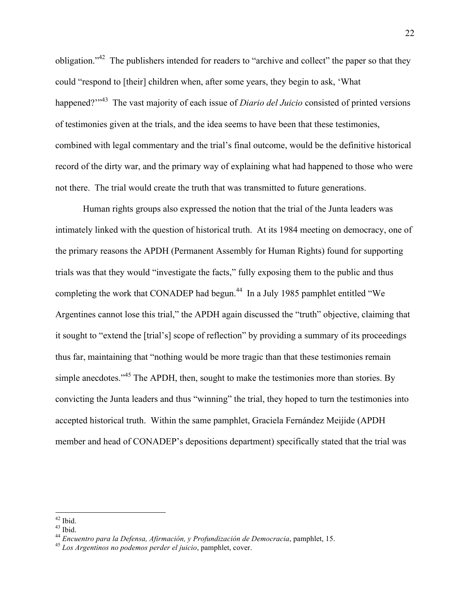obligation."42 The publishers intended for readers to "archive and collect" the paper so that they could "respond to [their] children when, after some years, they begin to ask, 'What happened?"<sup>43</sup> The vast majority of each issue of *Diario del Juicio* consisted of printed versions of testimonies given at the trials, and the idea seems to have been that these testimonies, combined with legal commentary and the trial's final outcome, would be the definitive historical record of the dirty war, and the primary way of explaining what had happened to those who were not there. The trial would create the truth that was transmitted to future generations.

Human rights groups also expressed the notion that the trial of the Junta leaders was intimately linked with the question of historical truth. At its 1984 meeting on democracy, one of the primary reasons the APDH (Permanent Assembly for Human Rights) found for supporting trials was that they would "investigate the facts," fully exposing them to the public and thus completing the work that CONADEP had begun.<sup>44</sup> In a July 1985 pamphlet entitled "We Argentines cannot lose this trial," the APDH again discussed the "truth" objective, claiming that it sought to "extend the [trial's] scope of reflection" by providing a summary of its proceedings thus far, maintaining that "nothing would be more tragic than that these testimonies remain simple anecdotes."<sup>45</sup> The APDH, then, sought to make the testimonies more than stories. By convicting the Junta leaders and thus "winning" the trial, they hoped to turn the testimonies into accepted historical truth. Within the same pamphlet, Graciela Fernández Meijide (APDH member and head of CONADEP's depositions department) specifically stated that the trial was

 $42$  Ibid.

 $43$  Ibid.

<sup>44</sup> *Encuentro para la Defensa, Afirmación, y Profundización de Democracia*, pamphlet, 15. <sup>45</sup> *Los Argentinos no podemos perder el juicio*, pamphlet, cover.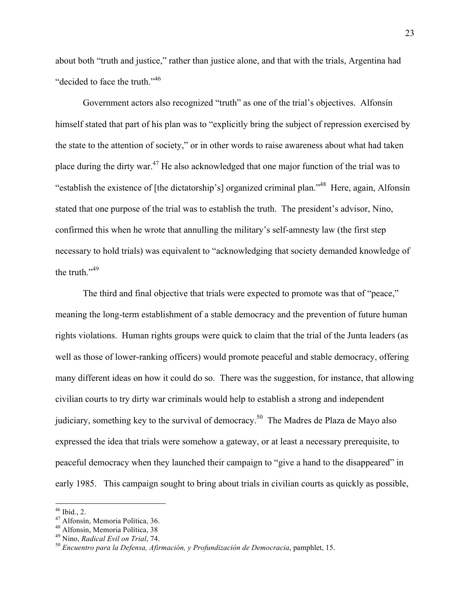about both "truth and justice," rather than justice alone, and that with the trials, Argentina had "decided to face the truth."<sup>46</sup>

Government actors also recognized "truth" as one of the trial's objectives. Alfonsín himself stated that part of his plan was to "explicitly bring the subject of repression exercised by the state to the attention of society," or in other words to raise awareness about what had taken place during the dirty war.47 He also acknowledged that one major function of the trial was to "establish the existence of [the dictatorship's] organized criminal plan."48 Here, again, Alfonsín stated that one purpose of the trial was to establish the truth. The president's advisor, Nino, confirmed this when he wrote that annulling the military's self-amnesty law (the first step necessary to hold trials) was equivalent to "acknowledging that society demanded knowledge of the truth."<sup>49</sup>

The third and final objective that trials were expected to promote was that of "peace," meaning the long-term establishment of a stable democracy and the prevention of future human rights violations. Human rights groups were quick to claim that the trial of the Junta leaders (as well as those of lower-ranking officers) would promote peaceful and stable democracy, offering many different ideas on how it could do so. There was the suggestion, for instance, that allowing civilian courts to try dirty war criminals would help to establish a strong and independent judiciary, something key to the survival of democracy.<sup>50</sup> The Madres de Plaza de Mayo also expressed the idea that trials were somehow a gateway, or at least a necessary prerequisite, to peaceful democracy when they launched their campaign to "give a hand to the disappeared" in early 1985. This campaign sought to bring about trials in civilian courts as quickly as possible,

<sup>&</sup>lt;sup>46</sup> Ibid., 2.<br><sup>47</sup> Alfonsín, Memoria Política, 36.

<sup>&</sup>lt;sup>48</sup> Alfonsin, Memoria Política, 38<br><sup>49</sup> Nino, *Radical Evil on Trial*, 74.

<sup>&</sup>lt;sup>50</sup> Encuentro para la Defensa, Afirmación, y Profundización de Democracia, pamphlet, 15.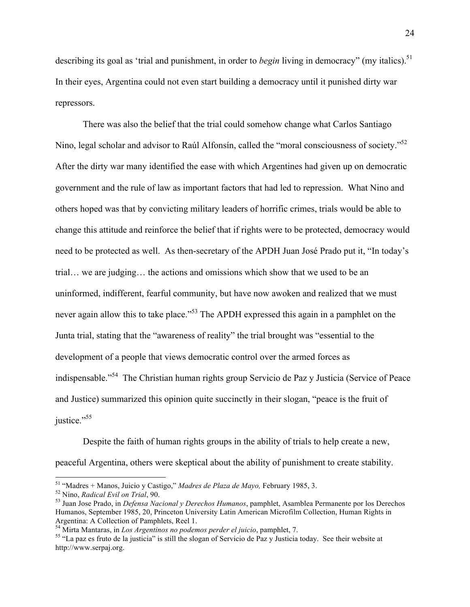describing its goal as 'trial and punishment, in order to *begin* living in democracy" (my italics).<sup>51</sup> In their eyes, Argentina could not even start building a democracy until it punished dirty war repressors.

There was also the belief that the trial could somehow change what Carlos Santiago Nino, legal scholar and advisor to Raúl Alfonsín, called the "moral consciousness of society."<sup>52</sup> After the dirty war many identified the ease with which Argentines had given up on democratic government and the rule of law as important factors that had led to repression. What Nino and others hoped was that by convicting military leaders of horrific crimes, trials would be able to change this attitude and reinforce the belief that if rights were to be protected, democracy would need to be protected as well. As then-secretary of the APDH Juan José Prado put it, "In today's trial… we are judging… the actions and omissions which show that we used to be an uninformed, indifferent, fearful community, but have now awoken and realized that we must never again allow this to take place."<sup>53</sup> The APDH expressed this again in a pamphlet on the Junta trial, stating that the "awareness of reality" the trial brought was "essential to the development of a people that views democratic control over the armed forces as indispensable."54 The Christian human rights group Servicio de Paz y Justicia (Service of Peace and Justice) summarized this opinion quite succinctly in their slogan, "peace is the fruit of justice."<sup>55</sup>

Despite the faith of human rights groups in the ability of trials to help create a new, peaceful Argentina, others were skeptical about the ability of punishment to create stability.

<sup>&</sup>lt;sup>51</sup> "Madres + Manos, Juicio y Castigo," *Madres de Plaza de Mayo*, February 1985, 3.<br><sup>52</sup> Nino, *Radical Evil on Trial*, 90.<br><sup>53</sup> Juan Jose Prado, in *Defensa Nacional y Derechos Humanos*, pamphlet, Asamblea Permanente p Humanos, September 1985, 20, Princeton University Latin American Microfilm Collection, Human Rights in Argentina: A Collection of Pamphlets, Reel 1.<br><sup>54</sup> Mirta Mantaras, in *Los Argentinos no podemos perder el juicio*, pamphlet, 7.

<sup>&</sup>lt;sup>55</sup> "La paz es fruto de la justicia" is still the slogan of Servicio de Paz y Justicia today. See their website at http://www.serpaj.org.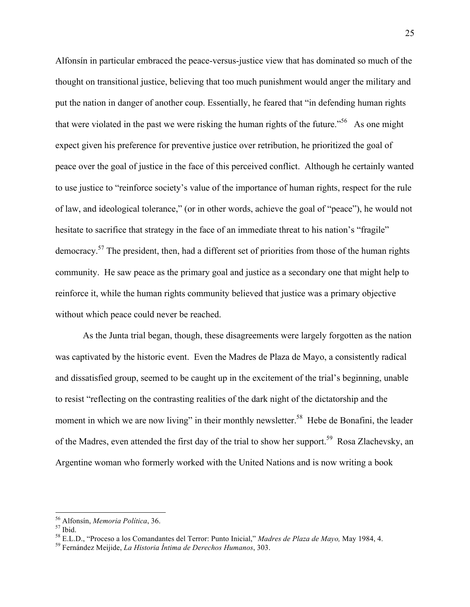Alfonsín in particular embraced the peace-versus-justice view that has dominated so much of the thought on transitional justice, believing that too much punishment would anger the military and put the nation in danger of another coup. Essentially, he feared that "in defending human rights that were violated in the past we were risking the human rights of the future.<sup> $56$ </sup> As one might expect given his preference for preventive justice over retribution, he prioritized the goal of peace over the goal of justice in the face of this perceived conflict. Although he certainly wanted to use justice to "reinforce society's value of the importance of human rights, respect for the rule of law, and ideological tolerance," (or in other words, achieve the goal of "peace"), he would not hesitate to sacrifice that strategy in the face of an immediate threat to his nation's "fragile" democracy.<sup>57</sup> The president, then, had a different set of priorities from those of the human rights community. He saw peace as the primary goal and justice as a secondary one that might help to reinforce it, while the human rights community believed that justice was a primary objective without which peace could never be reached.

As the Junta trial began, though, these disagreements were largely forgotten as the nation was captivated by the historic event. Even the Madres de Plaza de Mayo, a consistently radical and dissatisfied group, seemed to be caught up in the excitement of the trial's beginning, unable to resist "reflecting on the contrasting realities of the dark night of the dictatorship and the moment in which we are now living" in their monthly newsletter.<sup>58</sup> Hebe de Bonafini, the leader of the Madres, even attended the first day of the trial to show her support.<sup>59</sup> Rosa Zlachevsky, an Argentine woman who formerly worked with the United Nations and is now writing a book

<sup>&</sup>lt;sup>56</sup> Alfonsín, *Memoria Política*, 36. <sup>57</sup> Ibid.

<sup>58</sup> E.L.D., "Proceso a los Comandantes del Terror: Punto Inicial," *Madres de Plaza de Mayo,* May 1984, 4. 59 Fernández Meijide, *La Historia Íntima de Derechos Humanos*, 303.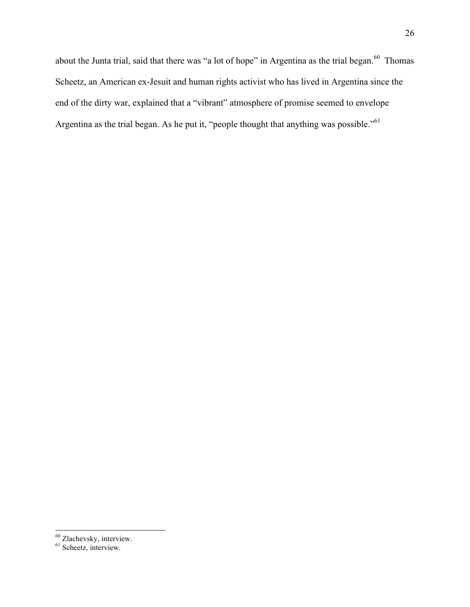about the Junta trial, said that there was "a lot of hope" in Argentina as the trial began.<sup>60</sup> Thomas Scheetz, an American ex-Jesuit and human rights activist who has lived in Argentina since the end of the dirty war, explained that a "vibrant" atmosphere of promise seemed to envelope Argentina as the trial began. As he put it, "people thought that anything was possible."<sup>61</sup>

<sup>&</sup>lt;sup>60</sup> Zlachevsky, interview.

<sup>&</sup>lt;sup>61</sup> Scheetz, interview.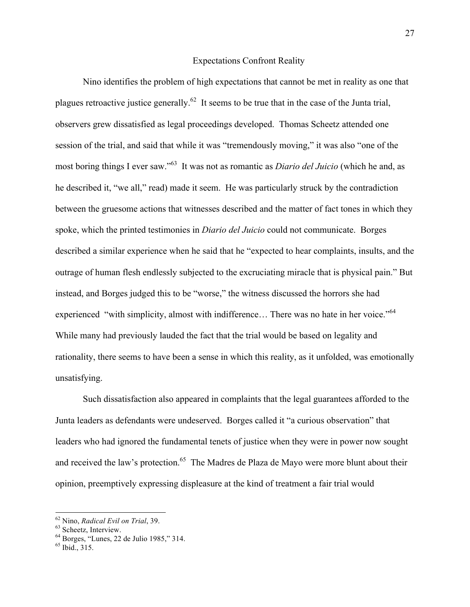### Expectations Confront Reality

Nino identifies the problem of high expectations that cannot be met in reality as one that plagues retroactive justice generally.<sup>62</sup> It seems to be true that in the case of the Junta trial, observers grew dissatisfied as legal proceedings developed. Thomas Scheetz attended one session of the trial, and said that while it was "tremendously moving," it was also "one of the most boring things I ever saw."63 It was not as romantic as *Diario del Juicio* (which he and, as he described it, "we all," read) made it seem. He was particularly struck by the contradiction between the gruesome actions that witnesses described and the matter of fact tones in which they spoke, which the printed testimonies in *Diario del Juicio* could not communicate. Borges described a similar experience when he said that he "expected to hear complaints, insults, and the outrage of human flesh endlessly subjected to the excruciating miracle that is physical pain." But instead, and Borges judged this to be "worse," the witness discussed the horrors she had experienced "with simplicity, almost with indifference... There was no hate in her voice."<sup>64</sup> While many had previously lauded the fact that the trial would be based on legality and rationality, there seems to have been a sense in which this reality, as it unfolded, was emotionally unsatisfying.

Such dissatisfaction also appeared in complaints that the legal guarantees afforded to the Junta leaders as defendants were undeserved. Borges called it "a curious observation" that leaders who had ignored the fundamental tenets of justice when they were in power now sought and received the law's protection.<sup>65</sup> The Madres de Plaza de Mayo were more blunt about their opinion, preemptively expressing displeasure at the kind of treatment a fair trial would

<sup>&</sup>lt;sup>62</sup> Nino, *Radical Evil on Trial*, 39.<br><sup>63</sup> Scheetz, Interview.<br><sup>64</sup> Borges, "Lunes, 22 de Julio 1985," 314.<br><sup>65</sup> Ibid., 315.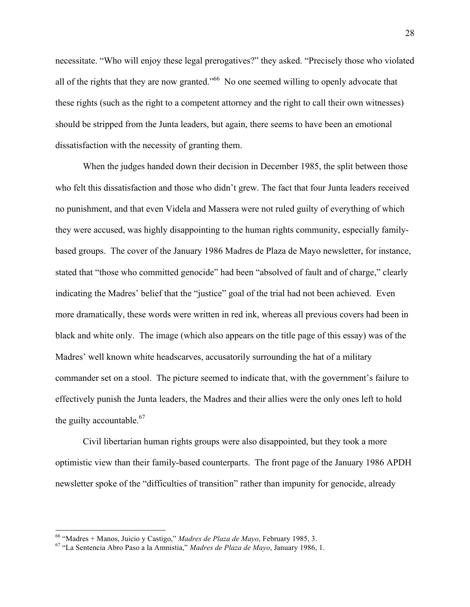necessitate. "Who will enjoy these legal prerogatives?" they asked. "Precisely those who violated all of the rights that they are now granted."<sup>66</sup> No one seemed willing to openly advocate that these rights (such as the right to a competent attorney and the right to call their own witnesses) should be stripped from the Junta leaders, but again, there seems to have been an emotional dissatisfaction with the necessity of granting them.

When the judges handed down their decision in December 1985, the split between those who felt this dissatisfaction and those who didn't grew. The fact that four Junta leaders received no punishment, and that even Videla and Massera were not ruled guilty of everything of which they were accused, was highly disappointing to the human rights community, especially familybased groups. The cover of the January 1986 Madres de Plaza de Mayo newsletter, for instance, stated that "those who committed genocide" had been "absolved of fault and of charge," clearly indicating the Madres' belief that the "justice" goal of the trial had not been achieved. Even more dramatically, these words were written in red ink, whereas all previous covers had been in black and white only. The image (which also appears on the title page of this essay) was of the Madres' well known white headscarves, accusatorily surrounding the hat of a military commander set on a stool. The picture seemed to indicate that, with the government's failure to effectively punish the Junta leaders, the Madres and their allies were the only ones left to hold the guilty accountable. $67$ 

Civil libertarian human rights groups were also disappointed, but they took a more optimistic view than their family-based counterparts. The front page of the January 1986 APDH newsletter spoke of the "difficulties of transition" rather than impunity for genocide, already

<sup>&</sup>lt;sup>66</sup> "Madres + Manos, Juicio y Castigo," *Madres de Plaza de Mayo*, February 1985, 3.<br><sup>67</sup> "La Sentencia Abro Paso a la Amnistia," *Madres de Plaza de Mayo*, January 1986, 1.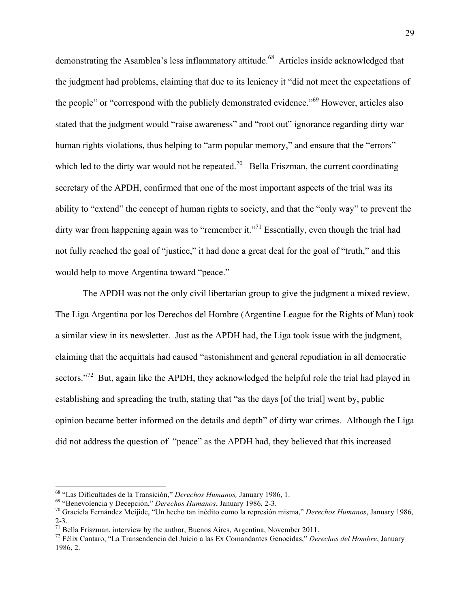demonstrating the Asamblea's less inflammatory attitude.<sup>68</sup> Articles inside acknowledged that the judgment had problems, claiming that due to its leniency it "did not meet the expectations of the people" or "correspond with the publicly demonstrated evidence."<sup>69</sup> However, articles also stated that the judgment would "raise awareness" and "root out" ignorance regarding dirty war human rights violations, thus helping to "arm popular memory," and ensure that the "errors" which led to the dirty war would not be repeated.<sup>70</sup> Bella Friszman, the current coordinating secretary of the APDH, confirmed that one of the most important aspects of the trial was its ability to "extend" the concept of human rights to society, and that the "only way" to prevent the dirty war from happening again was to "remember it."<sup>71</sup> Essentially, even though the trial had not fully reached the goal of "justice," it had done a great deal for the goal of "truth," and this would help to move Argentina toward "peace."

The APDH was not the only civil libertarian group to give the judgment a mixed review. The Liga Argentina por los Derechos del Hombre (Argentine League for the Rights of Man) took a similar view in its newsletter. Just as the APDH had, the Liga took issue with the judgment, claiming that the acquittals had caused "astonishment and general repudiation in all democratic sectors."<sup>72</sup> But, again like the APDH, they acknowledged the helpful role the trial had played in establishing and spreading the truth, stating that "as the days [of the trial] went by, public opinion became better informed on the details and depth" of dirty war crimes. Although the Liga did not address the question of "peace" as the APDH had, they believed that this increased

<sup>&</sup>lt;sup>68</sup> "Las Dificultades de la Transición," *Derechos Humanos*, January 1986, 1.<br><sup>69</sup> "Benevolencia y Decepción," *Derechos Humanos*, January 1986, 2-3.<br><sup>70</sup> Graciela Fernández Meijide. "Un hecho tan inédito como la represi 2-3.  $^{71}$  Bella Friszman, interview by the author, Buenos Aires, Argentina, November 2011.

<sup>72</sup> Félix Cantaro, "La Transendencia del Juicio a las Ex Comandantes Genocidas," *Derechos del Hombre*, January 1986, 2.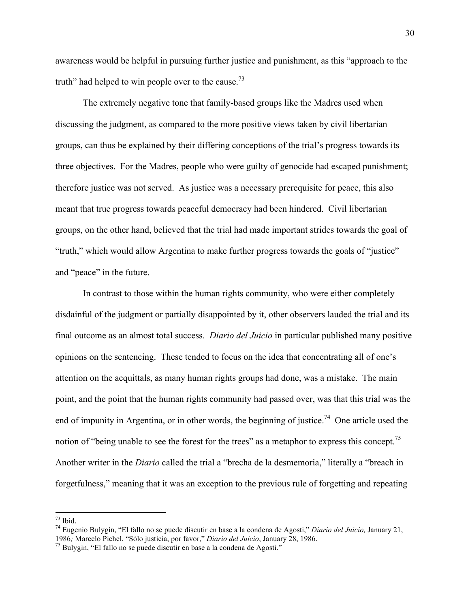awareness would be helpful in pursuing further justice and punishment, as this "approach to the truth" had helped to win people over to the cause. $73$ 

The extremely negative tone that family-based groups like the Madres used when discussing the judgment, as compared to the more positive views taken by civil libertarian groups, can thus be explained by their differing conceptions of the trial's progress towards its three objectives. For the Madres, people who were guilty of genocide had escaped punishment; therefore justice was not served. As justice was a necessary prerequisite for peace, this also meant that true progress towards peaceful democracy had been hindered. Civil libertarian groups, on the other hand, believed that the trial had made important strides towards the goal of "truth," which would allow Argentina to make further progress towards the goals of "justice" and "peace" in the future.

In contrast to those within the human rights community, who were either completely disdainful of the judgment or partially disappointed by it, other observers lauded the trial and its final outcome as an almost total success. *Diario del Juicio* in particular published many positive opinions on the sentencing. These tended to focus on the idea that concentrating all of one's attention on the acquittals, as many human rights groups had done, was a mistake. The main point, and the point that the human rights community had passed over, was that this trial was the end of impunity in Argentina, or in other words, the beginning of justice.<sup>74</sup> One article used the notion of "being unable to see the forest for the trees" as a metaphor to express this concept.<sup>75</sup> Another writer in the *Diario* called the trial a "brecha de la desmemoria," literally a "breach in forgetfulness," meaning that it was an exception to the previous rule of forgetting and repeating

 $\frac{1}{73}$  Ibid.

<sup>74</sup> Eugenio Bulygin, "El fallo no se puede discutir en base a la condena de Agosti," *Diario del Juicio,* January 21, <sup>1986</sup>*;* Marcelo Pichel, "Sólo justicia, por favor," *Diario del Juicio*, January 28, 1986. 75 Bulygin, "El fallo no se puede discutir en base a la condena de Agosti."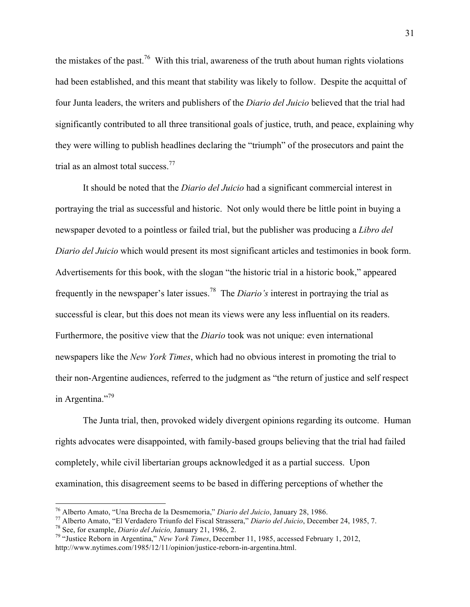the mistakes of the past.<sup>76</sup> With this trial, awareness of the truth about human rights violations had been established, and this meant that stability was likely to follow. Despite the acquittal of four Junta leaders, the writers and publishers of the *Diario del Juicio* believed that the trial had significantly contributed to all three transitional goals of justice, truth, and peace, explaining why they were willing to publish headlines declaring the "triumph" of the prosecutors and paint the trial as an almost total success.<sup>77</sup>

It should be noted that the *Diario del Juicio* had a significant commercial interest in portraying the trial as successful and historic. Not only would there be little point in buying a newspaper devoted to a pointless or failed trial, but the publisher was producing a *Libro del Diario del Juicio* which would present its most significant articles and testimonies in book form. Advertisements for this book, with the slogan "the historic trial in a historic book," appeared frequently in the newspaper's later issues.78 The *Diario's* interest in portraying the trial as successful is clear, but this does not mean its views were any less influential on its readers. Furthermore, the positive view that the *Diario* took was not unique: even international newspapers like the *New York Times*, which had no obvious interest in promoting the trial to their non-Argentine audiences, referred to the judgment as "the return of justice and self respect in Argentina."<sup>79</sup>

The Junta trial, then, provoked widely divergent opinions regarding its outcome. Human rights advocates were disappointed, with family-based groups believing that the trial had failed completely, while civil libertarian groups acknowledged it as a partial success. Upon examination, this disagreement seems to be based in differing perceptions of whether the

<sup>&</sup>lt;sup>76</sup> Alberto Amato, "Una Brecha de la Desmemoria," *Diario del Juicio*, January 28, 1986.<br><sup>77</sup> Alberto Amato, "El Verdadero Triunfo del Fiscal Strassera," *Diario del Juicio*, December 24, 1985, 7.<br><sup>78</sup> See, for example,

http://www.nytimes.com/1985/12/11/opinion/justice-reborn-in-argentina.html.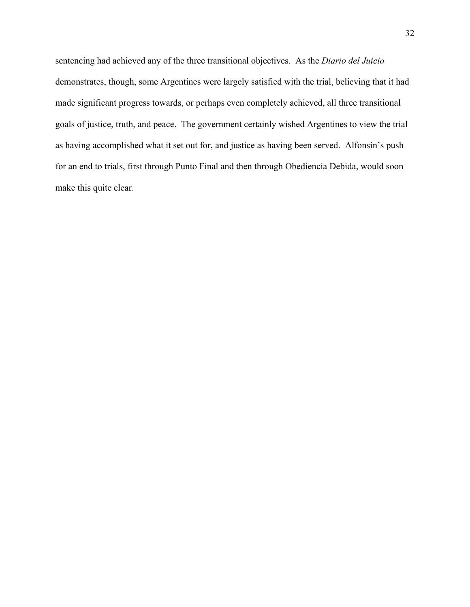sentencing had achieved any of the three transitional objectives. As the *Diario del Juicio* demonstrates, though, some Argentines were largely satisfied with the trial, believing that it had made significant progress towards, or perhaps even completely achieved, all three transitional goals of justice, truth, and peace. The government certainly wished Argentines to view the trial as having accomplished what it set out for, and justice as having been served. Alfonsín's push for an end to trials, first through Punto Final and then through Obediencia Debida, would soon make this quite clear.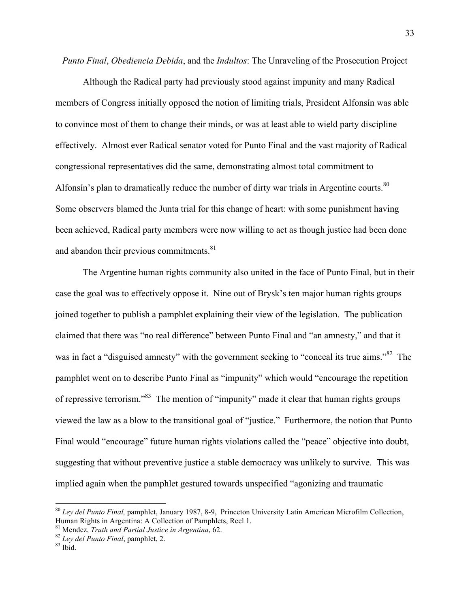*Punto Final*, *Obediencia Debida*, and the *Indultos*: The Unraveling of the Prosecution Project

Although the Radical party had previously stood against impunity and many Radical members of Congress initially opposed the notion of limiting trials, President Alfonsín was able to convince most of them to change their minds, or was at least able to wield party discipline effectively. Almost ever Radical senator voted for Punto Final and the vast majority of Radical congressional representatives did the same, demonstrating almost total commitment to Alfonsín's plan to dramatically reduce the number of dirty war trials in Argentine courts.<sup>80</sup> Some observers blamed the Junta trial for this change of heart: with some punishment having been achieved, Radical party members were now willing to act as though justice had been done and abandon their previous commitments.<sup>81</sup>

The Argentine human rights community also united in the face of Punto Final, but in their case the goal was to effectively oppose it. Nine out of Brysk's ten major human rights groups joined together to publish a pamphlet explaining their view of the legislation. The publication claimed that there was "no real difference" between Punto Final and "an amnesty," and that it was in fact a "disguised amnesty" with the government seeking to "conceal its true aims."<sup>82</sup> The pamphlet went on to describe Punto Final as "impunity" which would "encourage the repetition of repressive terrorism."83 The mention of "impunity" made it clear that human rights groups viewed the law as a blow to the transitional goal of "justice." Furthermore, the notion that Punto Final would "encourage" future human rights violations called the "peace" objective into doubt, suggesting that without preventive justice a stable democracy was unlikely to survive. This was implied again when the pamphlet gestured towards unspecified "agonizing and traumatic

<sup>&</sup>lt;sup>80</sup> Ley del Punto Final, pamphlet, January 1987, 8-9, Princeton University Latin American Microfilm Collection, Human Rights in Argentina: A Collection of Pamphlets, Reel 1.

<sup>&</sup>lt;sup>81</sup> Mendez, *Truth and Partial Justice in Argentina*, 62.<br><sup>82</sup> *Ley del Punto Final*, pamphlet, 2.<br><sup>83</sup> Ibid.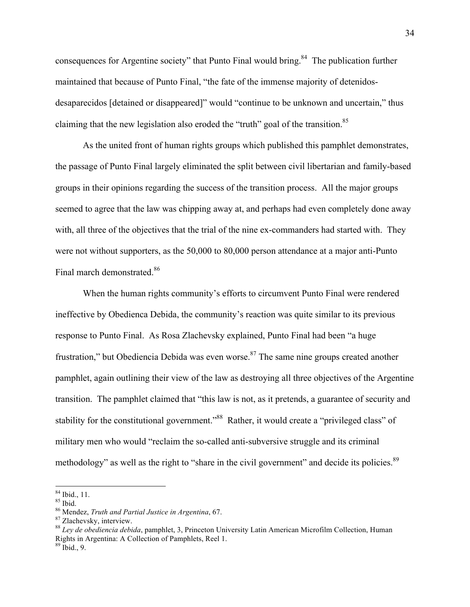consequences for Argentine society" that Punto Final would bring.<sup>84</sup> The publication further maintained that because of Punto Final, "the fate of the immense majority of detenidosdesaparecidos [detained or disappeared]" would "continue to be unknown and uncertain," thus claiming that the new legislation also eroded the "truth" goal of the transition.<sup>85</sup>

As the united front of human rights groups which published this pamphlet demonstrates, the passage of Punto Final largely eliminated the split between civil libertarian and family-based groups in their opinions regarding the success of the transition process. All the major groups seemed to agree that the law was chipping away at, and perhaps had even completely done away with, all three of the objectives that the trial of the nine ex-commanders had started with. They were not without supporters, as the 50,000 to 80,000 person attendance at a major anti-Punto Final march demonstrated.<sup>86</sup>

When the human rights community's efforts to circumvent Punto Final were rendered ineffective by Obedienca Debida, the community's reaction was quite similar to its previous response to Punto Final. As Rosa Zlachevsky explained, Punto Final had been "a huge frustration," but Obediencia Debida was even worse.<sup>87</sup> The same nine groups created another pamphlet, again outlining their view of the law as destroying all three objectives of the Argentine transition. The pamphlet claimed that "this law is not, as it pretends, a guarantee of security and stability for the constitutional government."<sup>88</sup> Rather, it would create a "privileged class" of military men who would "reclaim the so-called anti-subversive struggle and its criminal methodology" as well as the right to "share in the civil government" and decide its policies.<sup>89</sup>

 $\frac{84 \text{}}{85 \text{}}$  Ibid., 11.

<sup>86</sup> Mendez, *Truth and Partial Justice in Argentina*, 67. 87 Zlachevsky, interview.

<sup>88</sup> *Ley de obediencia debida*, pamphlet, 3, Princeton University Latin American Microfilm Collection, Human Rights in Argentina: A Collection of Pamphlets, Reel 1. 89 Ibid., 9.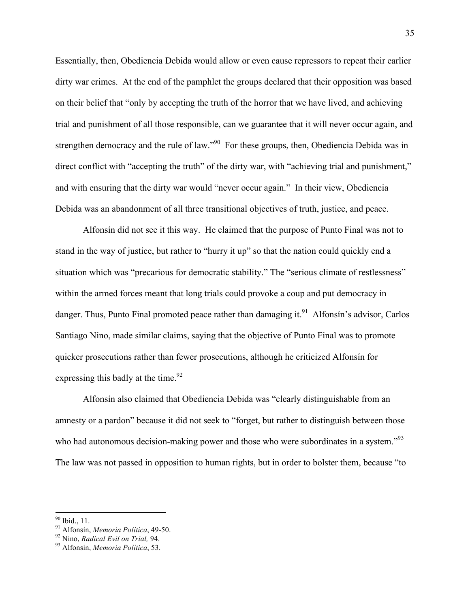Essentially, then, Obediencia Debida would allow or even cause repressors to repeat their earlier dirty war crimes. At the end of the pamphlet the groups declared that their opposition was based on their belief that "only by accepting the truth of the horror that we have lived, and achieving trial and punishment of all those responsible, can we guarantee that it will never occur again, and strengthen democracy and the rule of law."<sup>90</sup> For these groups, then, Obediencia Debida was in direct conflict with "accepting the truth" of the dirty war, with "achieving trial and punishment," and with ensuring that the dirty war would "never occur again." In their view, Obediencia Debida was an abandonment of all three transitional objectives of truth, justice, and peace.

Alfonsín did not see it this way. He claimed that the purpose of Punto Final was not to stand in the way of justice, but rather to "hurry it up" so that the nation could quickly end a situation which was "precarious for democratic stability." The "serious climate of restlessness" within the armed forces meant that long trials could provoke a coup and put democracy in danger. Thus, Punto Final promoted peace rather than damaging it.<sup>91</sup> Alfonsín's advisor, Carlos Santiago Nino, made similar claims, saying that the objective of Punto Final was to promote quicker prosecutions rather than fewer prosecutions, although he criticized Alfonsín for expressing this badly at the time.  $92$ 

Alfonsín also claimed that Obediencia Debida was "clearly distinguishable from an amnesty or a pardon" because it did not seek to "forget, but rather to distinguish between those who had autonomous decision-making power and those who were subordinates in a system."<sup>93</sup> The law was not passed in opposition to human rights, but in order to bolster them, because "to

<sup>!!!!!!!!!!!!!!!!!!!!!!!!!!!!!!!!!!!!!!!!!!!!!!!!!!!!!!!</sup> 90 Ibid., 11. 91 Alfonsín, *Memoria Política*, 49-50. 92 Nino, *Radical Evil on Trial,* 94. 93 Alfonsín, *Memoria Política*, 53.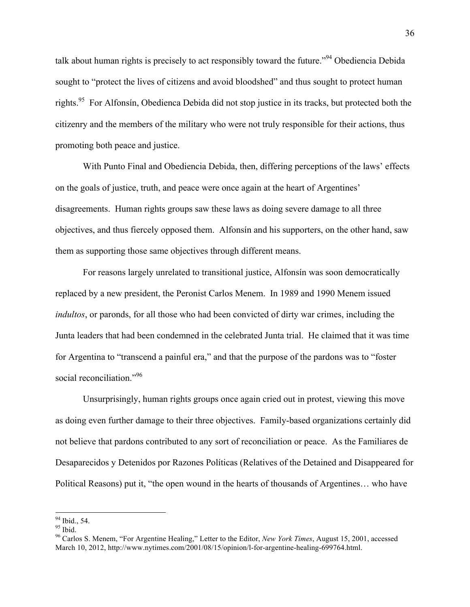talk about human rights is precisely to act responsibly toward the future.<sup>"94</sup> Obediencia Debida sought to "protect the lives of citizens and avoid bloodshed" and thus sought to protect human rights.<sup>95</sup> For Alfonsín, Obedienca Debida did not stop justice in its tracks, but protected both the citizenry and the members of the military who were not truly responsible for their actions, thus promoting both peace and justice.

With Punto Final and Obediencia Debida, then, differing perceptions of the laws' effects on the goals of justice, truth, and peace were once again at the heart of Argentines' disagreements. Human rights groups saw these laws as doing severe damage to all three objectives, and thus fiercely opposed them. Alfonsín and his supporters, on the other hand, saw them as supporting those same objectives through different means.

For reasons largely unrelated to transitional justice, Alfonsín was soon democratically replaced by a new president, the Peronist Carlos Menem. In 1989 and 1990 Menem issued *indultos*, or paronds, for all those who had been convicted of dirty war crimes, including the Junta leaders that had been condemned in the celebrated Junta trial. He claimed that it was time for Argentina to "transcend a painful era," and that the purpose of the pardons was to "foster social reconciliation."<sup>96</sup>

Unsurprisingly, human rights groups once again cried out in protest, viewing this move as doing even further damage to their three objectives. Family-based organizations certainly did not believe that pardons contributed to any sort of reconciliation or peace. As the Familiares de Desaparecidos y Detenidos por Razones Políticas (Relatives of the Detained and Disappeared for Political Reasons) put it, "the open wound in the hearts of thousands of Argentines… who have

<sup>&</sup>lt;sup>94</sup> Ibid., 54.

 $95$  Ibid.

<sup>96</sup> Carlos S. Menem, "For Argentine Healing," Letter to the Editor, *New York Times*, August 15, 2001, accessed March 10, 2012, http://www.nytimes.com/2001/08/15/opinion/l-for-argentine-healing-699764.html.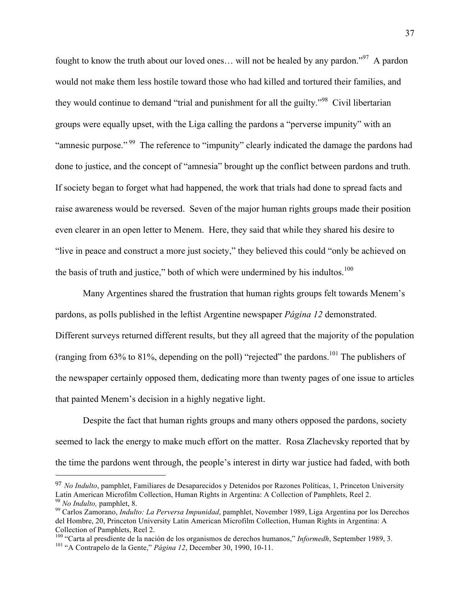fought to know the truth about our loved ones... will not be healed by any pardon."<sup>97</sup> A pardon would not make them less hostile toward those who had killed and tortured their families, and they would continue to demand "trial and punishment for all the guilty."<sup>98</sup> Civil libertarian groups were equally upset, with the Liga calling the pardons a "perverse impunity" with an "amnesic purpose."<sup>99</sup> The reference to "impunity" clearly indicated the damage the pardons had done to justice, and the concept of "amnesia" brought up the conflict between pardons and truth. If society began to forget what had happened, the work that trials had done to spread facts and raise awareness would be reversed. Seven of the major human rights groups made their position even clearer in an open letter to Menem. Here, they said that while they shared his desire to "live in peace and construct a more just society," they believed this could "only be achieved on the basis of truth and justice," both of which were undermined by his indultos. $100$ 

Many Argentines shared the frustration that human rights groups felt towards Menem's pardons, as polls published in the leftist Argentine newspaper *Página 12* demonstrated. Different surveys returned different results, but they all agreed that the majority of the population (ranging from 63% to 81%, depending on the poll) "rejected" the pardons.<sup>101</sup> The publishers of the newspaper certainly opposed them, dedicating more than twenty pages of one issue to articles that painted Menem's decision in a highly negative light.

Despite the fact that human rights groups and many others opposed the pardons, society seemed to lack the energy to make much effort on the matter. Rosa Zlachevsky reported that by the time the pardons went through, the people's interest in dirty war justice had faded, with both

!!!!!!!!!!!!!!!!!!!!!!!!!!!!!!!!!!!!!!!!!!!!!!!!!!!!!!!

<sup>97</sup> *No Indulto*, pamphlet, Familiares de Desaparecidos y Detenidos por Razones Políticas, 1, Princeton University Latin American Microfilm Collection, Human Rights in Argentina: A Collection of Pamphlets, Reel 2.<br><sup>98</sup> No Indulto, pamphlet, 8.<br><sup>99</sup> Carlos Zamorano, *Indulto: La Perversa Impunidad*, pamphlet, November 1989, Liga Argenti

del Hombre, 20, Princeton University Latin American Microfilm Collection, Human Rights in Argentina: A Collection of Pamphlets, Reel 2.

<sup>&</sup>lt;sup>100</sup> "Carta al presdiente de la nación de los organismos de derechos humanos," *Informedh*, September 1989, 3.<br><sup>101</sup> "A Contrapelo de la Gente," *Página 12*, December 30, 1990, 10-11.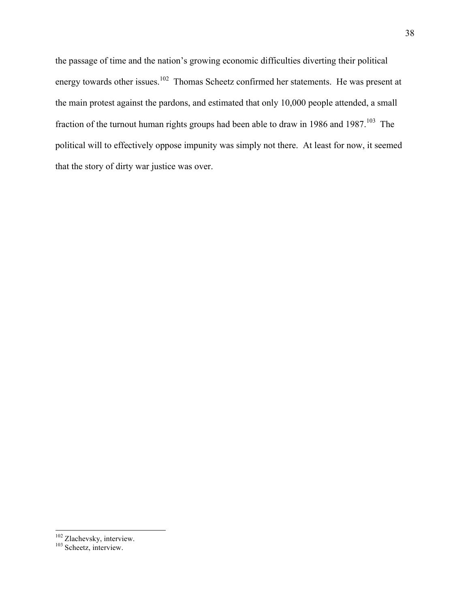the passage of time and the nation's growing economic difficulties diverting their political energy towards other issues.<sup>102</sup> Thomas Scheetz confirmed her statements. He was present at the main protest against the pardons, and estimated that only 10,000 people attended, a small fraction of the turnout human rights groups had been able to draw in 1986 and 1987.<sup>103</sup> The political will to effectively oppose impunity was simply not there. At least for now, it seemed that the story of dirty war justice was over.

 $102$  Zlachevsky, interview.<br> $103$  Scheetz, interview.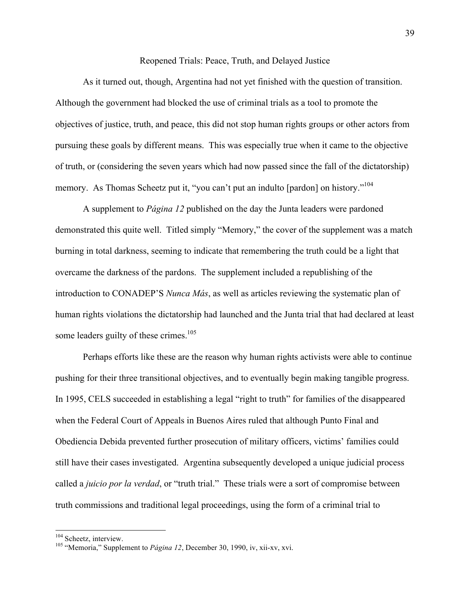### Reopened Trials: Peace, Truth, and Delayed Justice

As it turned out, though, Argentina had not yet finished with the question of transition. Although the government had blocked the use of criminal trials as a tool to promote the objectives of justice, truth, and peace, this did not stop human rights groups or other actors from pursuing these goals by different means. This was especially true when it came to the objective of truth, or (considering the seven years which had now passed since the fall of the dictatorship) memory. As Thomas Scheetz put it, "you can't put an indulto [pardon] on history."<sup>104</sup>

A supplement to *Página 12* published on the day the Junta leaders were pardoned demonstrated this quite well. Titled simply "Memory," the cover of the supplement was a match burning in total darkness, seeming to indicate that remembering the truth could be a light that overcame the darkness of the pardons. The supplement included a republishing of the introduction to CONADEP'S *Nunca Más*, as well as articles reviewing the systematic plan of human rights violations the dictatorship had launched and the Junta trial that had declared at least some leaders guilty of these crimes. $105$ 

Perhaps efforts like these are the reason why human rights activists were able to continue pushing for their three transitional objectives, and to eventually begin making tangible progress. In 1995, CELS succeeded in establishing a legal "right to truth" for families of the disappeared when the Federal Court of Appeals in Buenos Aires ruled that although Punto Final and Obediencia Debida prevented further prosecution of military officers, victims' families could still have their cases investigated. Argentina subsequently developed a unique judicial process called a *juicio por la verdad*, or "truth trial." These trials were a sort of compromise between truth commissions and traditional legal proceedings, using the form of a criminal trial to

<sup>&</sup>lt;sup>104</sup> Scheetz, interview.<br><sup>105</sup> "Memoria," Supplement to *Página 12*, December 30, 1990, iv, xii-xv, xvi.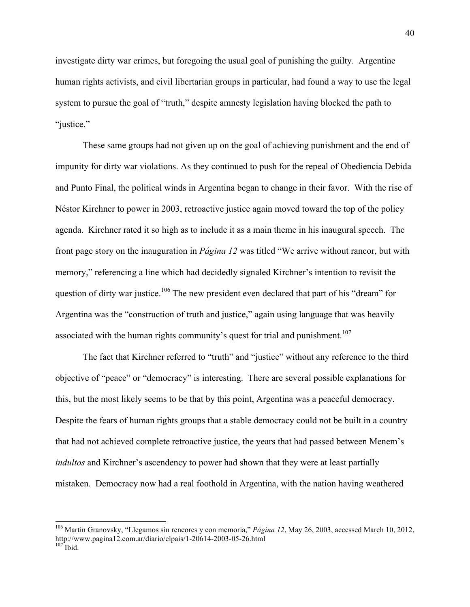investigate dirty war crimes, but foregoing the usual goal of punishing the guilty. Argentine human rights activists, and civil libertarian groups in particular, had found a way to use the legal system to pursue the goal of "truth," despite amnesty legislation having blocked the path to "justice."

These same groups had not given up on the goal of achieving punishment and the end of impunity for dirty war violations. As they continued to push for the repeal of Obediencia Debida and Punto Final, the political winds in Argentina began to change in their favor. With the rise of Néstor Kirchner to power in 2003, retroactive justice again moved toward the top of the policy agenda. Kirchner rated it so high as to include it as a main theme in his inaugural speech. The front page story on the inauguration in *Página 12* was titled "We arrive without rancor, but with memory," referencing a line which had decidedly signaled Kirchner's intention to revisit the question of dirty war justice.<sup>106</sup> The new president even declared that part of his "dream" for Argentina was the "construction of truth and justice," again using language that was heavily associated with the human rights community's quest for trial and punishment.<sup>107</sup>

The fact that Kirchner referred to "truth" and "justice" without any reference to the third objective of "peace" or "democracy" is interesting. There are several possible explanations for this, but the most likely seems to be that by this point, Argentina was a peaceful democracy. Despite the fears of human rights groups that a stable democracy could not be built in a country that had not achieved complete retroactive justice, the years that had passed between Menem's *indultos* and Kirchner's ascendency to power had shown that they were at least partially mistaken. Democracy now had a real foothold in Argentina, with the nation having weathered

<sup>&</sup>lt;sup>106</sup> Martín Granovsky, "Llegamos sin rencores y con memoria," *Página 12*, May 26, 2003, accessed March 10, 2012, http://www.pagina12.com.ar/diario/elpais/1-20614-2003-05-26.html<br><sup>107</sup> Ibid.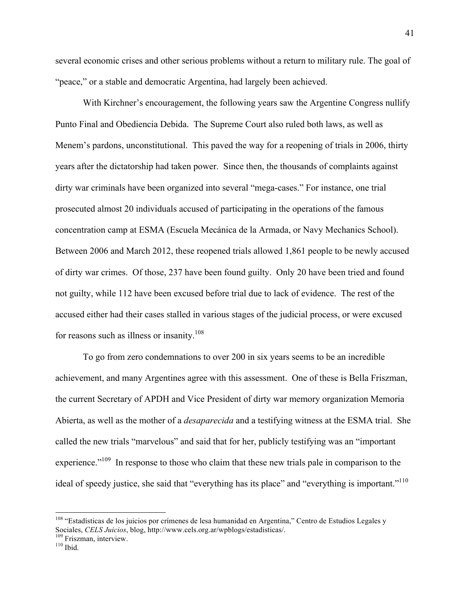several economic crises and other serious problems without a return to military rule. The goal of "peace," or a stable and democratic Argentina, had largely been achieved.

With Kirchner's encouragement, the following years saw the Argentine Congress nullify Punto Final and Obediencia Debida. The Supreme Court also ruled both laws, as well as Menem's pardons, unconstitutional. This paved the way for a reopening of trials in 2006, thirty years after the dictatorship had taken power. Since then, the thousands of complaints against dirty war criminals have been organized into several "mega-cases." For instance, one trial prosecuted almost 20 individuals accused of participating in the operations of the famous concentration camp at ESMA (Escuela Mecánica de la Armada, or Navy Mechanics School). Between 2006 and March 2012, these reopened trials allowed 1,861 people to be newly accused of dirty war crimes. Of those, 237 have been found guilty. Only 20 have been tried and found not guilty, while 112 have been excused before trial due to lack of evidence. The rest of the accused either had their cases stalled in various stages of the judicial process, or were excused for reasons such as illness or insanity.<sup>108</sup>

To go from zero condemnations to over 200 in six years seems to be an incredible achievement, and many Argentines agree with this assessment. One of these is Bella Friszman, the current Secretary of APDH and Vice President of dirty war memory organization Memoria Abierta, as well as the mother of a *desaparecida* and a testifying witness at the ESMA trial. She called the new trials "marvelous" and said that for her, publicly testifying was an "important experience."<sup>109</sup> In response to those who claim that these new trials pale in comparison to the ideal of speedy justice, she said that "everything has its place" and "everything is important."<sup>110</sup>

 $108$  "Estadísticas de los juicios por crímenes de lesa humanidad en Argentina," Centro de Estudios Legales y Sociales, *CELS Juicios*, blog, http://www.cels.org.ar/wpblogs/estadisticas/. <sup>109</sup> Friszman, interview. <sup>110</sup> Ibid.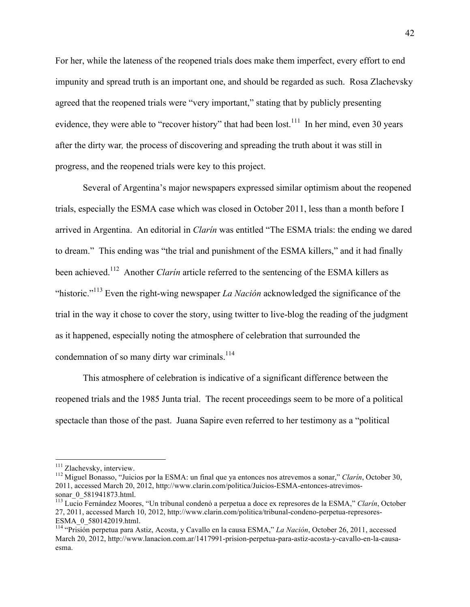For her, while the lateness of the reopened trials does make them imperfect, every effort to end impunity and spread truth is an important one, and should be regarded as such. Rosa Zlachevsky agreed that the reopened trials were "very important," stating that by publicly presenting evidence, they were able to "recover history" that had been lost.<sup>111</sup> In her mind, even 30 years after the dirty war*,* the process of discovering and spreading the truth about it was still in progress, and the reopened trials were key to this project.

Several of Argentina's major newspapers expressed similar optimism about the reopened trials, especially the ESMA case which was closed in October 2011, less than a month before I arrived in Argentina. An editorial in *Clarín* was entitled "The ESMA trials: the ending we dared to dream." This ending was "the trial and punishment of the ESMA killers," and it had finally been achieved.<sup>112</sup> Another *Clarin* article referred to the sentencing of the ESMA killers as "historic."113 Even the right-wing newspaper *La Nación* acknowledged the significance of the trial in the way it chose to cover the story, using twitter to live-blog the reading of the judgment as it happened, especially noting the atmosphere of celebration that surrounded the condemnation of so many dirty war criminals. $114$ 

This atmosphere of celebration is indicative of a significant difference between the reopened trials and the 1985 Junta trial. The recent proceedings seem to be more of a political spectacle than those of the past. Juana Sapire even referred to her testimony as a "political

<sup>&</sup>lt;sup>111</sup> Zlachevsky, interview.<br><sup>112</sup> Miguel Bonasso, "Juicios por la ESMA: un final que ya entonces nos atrevemos a sonar," *Clarín*, October 30, 2011, accessed March 20, 2012, http://www.clarin.com/politica/Juicios-ESMA-entonces-atrevimossonar\_0\_581941873.html. 113 Lucio Fernández Moores, "Un tribunal condenó a perpetua a doce ex represores de la ESMA," *Clarín*, October

<sup>27, 2011,</sup> accessed March 10, 2012, http://www.clarin.com/politica/tribunal-condeno-perpetua-represores-

ESMA\_0\_580142019.html. <sup>114</sup> "Prisión perpetua para Astiz, Acosta, y Cavallo en la causa ESMA," *La Nación*, October 26, 2011, accessed March 20, 2012, http://www.lanacion.com.ar/1417991-prision-perpetua-para-astiz-acosta-y-cavallo-en-la-causaesma.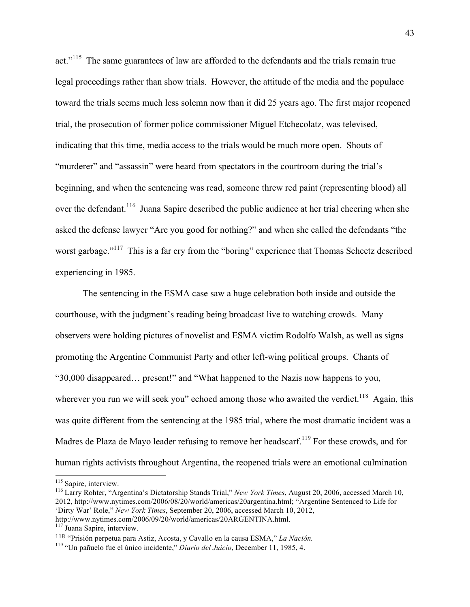act."<sup>115</sup> The same guarantees of law are afforded to the defendants and the trials remain true legal proceedings rather than show trials. However, the attitude of the media and the populace toward the trials seems much less solemn now than it did 25 years ago. The first major reopened trial, the prosecution of former police commissioner Miguel Etchecolatz, was televised, indicating that this time, media access to the trials would be much more open. Shouts of "murderer" and "assassin" were heard from spectators in the courtroom during the trial's beginning, and when the sentencing was read, someone threw red paint (representing blood) all over the defendant.<sup>116</sup> Juana Sapire described the public audience at her trial cheering when she asked the defense lawyer "Are you good for nothing?" and when she called the defendants "the worst garbage."<sup>117</sup> This is a far cry from the "boring" experience that Thomas Scheetz described experiencing in 1985.

The sentencing in the ESMA case saw a huge celebration both inside and outside the courthouse, with the judgment's reading being broadcast live to watching crowds. Many observers were holding pictures of novelist and ESMA victim Rodolfo Walsh, as well as signs promoting the Argentine Communist Party and other left-wing political groups. Chants of "30,000 disappeared… present!" and "What happened to the Nazis now happens to you, wherever you run we will seek you" echoed among those who awaited the verdict.<sup>118</sup> Again, this was quite different from the sentencing at the 1985 trial, where the most dramatic incident was a Madres de Plaza de Mayo leader refusing to remove her headscarf.<sup>119</sup> For these crowds, and for human rights activists throughout Argentina, the reopened trials were an emotional culmination

<sup>&</sup>lt;sup>115</sup> Sapire, interview.<br><sup>116</sup> Larry Rohter, "Argentina's Dictatorship Stands Trial," *New York Times*, August 20, 2006, accessed March 10, 2012, http://www.nytimes.com/2006/08/20/world/americas/20argentina.html; "Argentine Sentenced to Life for 'Dirty War' Role," *New York Times*, September 20, 2006, accessed March 10, 2012, http://www.nytimes.com/2006/09/20/world/americas/20ARGENTINA.html.

<sup>&</sup>lt;sup>117</sup> Juana Sapire, interview.

<sup>118</sup> "Prisión perpetua para Astiz, Acosta, y Cavallo en la causa ESMA," *La Nación.*

<sup>119 &</sup>quot;Un pañuelo fue el único incidente," *Diario del Juicio*, December 11, 1985, 4.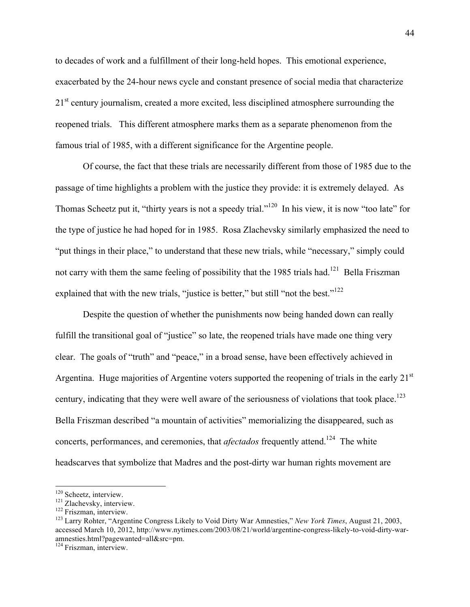to decades of work and a fulfillment of their long-held hopes. This emotional experience, exacerbated by the 24-hour news cycle and constant presence of social media that characterize 21<sup>st</sup> century journalism, created a more excited, less disciplined atmosphere surrounding the reopened trials. This different atmosphere marks them as a separate phenomenon from the famous trial of 1985, with a different significance for the Argentine people.

Of course, the fact that these trials are necessarily different from those of 1985 due to the passage of time highlights a problem with the justice they provide: it is extremely delayed. As Thomas Scheetz put it, "thirty years is not a speedy trial."120 In his view, it is now "too late" for the type of justice he had hoped for in 1985. Rosa Zlachevsky similarly emphasized the need to "put things in their place," to understand that these new trials, while "necessary," simply could not carry with them the same feeling of possibility that the 1985 trials had.<sup>121</sup> Bella Friszman explained that with the new trials, "justice is better," but still "not the best."<sup>122</sup>

Despite the question of whether the punishments now being handed down can really fulfill the transitional goal of "justice" so late, the reopened trials have made one thing very clear. The goals of "truth" and "peace," in a broad sense, have been effectively achieved in Argentina. Huge majorities of Argentine voters supported the reopening of trials in the early 21<sup>st</sup> century, indicating that they were well aware of the seriousness of violations that took place.<sup>123</sup> Bella Friszman described "a mountain of activities" memorializing the disappeared, such as concerts, performances, and ceremonies, that *afectados* frequently attend.<sup>124</sup> The white headscarves that symbolize that Madres and the post-dirty war human rights movement are

<sup>&</sup>lt;sup>120</sup> Scheetz, interview.<br><sup>121</sup> Zlachevsky, interview.<br><sup>122</sup> Friszman, interview.<br><sup>122</sup> Larry Rohter, "Argentine Congress Likely to Void Dirty War Amnesties," *New York Times*, August 21, 2003, accessed March 10, 2012, http://www.nytimes.com/2003/08/21/world/argentine-congress-likely-to-void-dirty-waramnesties.html?pagewanted=all&src=pm.

<sup>&</sup>lt;sup>124</sup> Friszman, interview.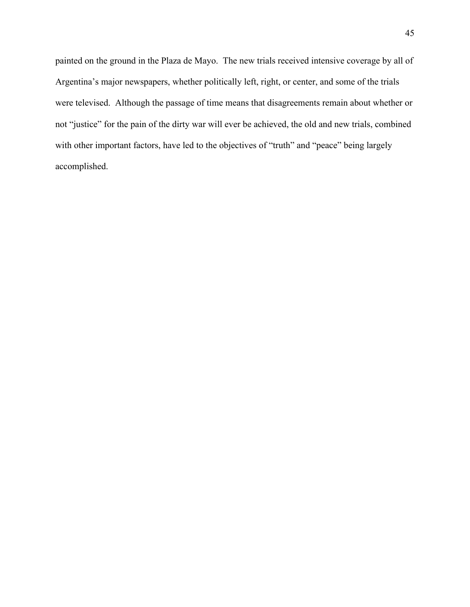painted on the ground in the Plaza de Mayo. The new trials received intensive coverage by all of Argentina's major newspapers, whether politically left, right, or center, and some of the trials were televised. Although the passage of time means that disagreements remain about whether or not "justice" for the pain of the dirty war will ever be achieved, the old and new trials, combined with other important factors, have led to the objectives of "truth" and "peace" being largely accomplished.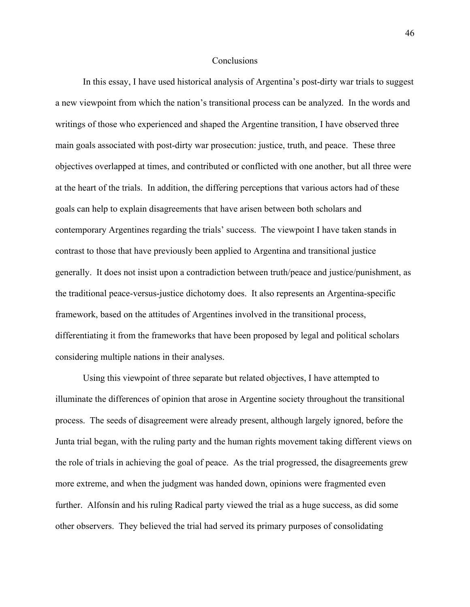#### **Conclusions**

In this essay, I have used historical analysis of Argentina's post-dirty war trials to suggest a new viewpoint from which the nation's transitional process can be analyzed. In the words and writings of those who experienced and shaped the Argentine transition, I have observed three main goals associated with post-dirty war prosecution: justice, truth, and peace. These three objectives overlapped at times, and contributed or conflicted with one another, but all three were at the heart of the trials. In addition, the differing perceptions that various actors had of these goals can help to explain disagreements that have arisen between both scholars and contemporary Argentines regarding the trials' success. The viewpoint I have taken stands in contrast to those that have previously been applied to Argentina and transitional justice generally. It does not insist upon a contradiction between truth/peace and justice/punishment, as the traditional peace-versus-justice dichotomy does. It also represents an Argentina-specific framework, based on the attitudes of Argentines involved in the transitional process, differentiating it from the frameworks that have been proposed by legal and political scholars considering multiple nations in their analyses.

Using this viewpoint of three separate but related objectives, I have attempted to illuminate the differences of opinion that arose in Argentine society throughout the transitional process. The seeds of disagreement were already present, although largely ignored, before the Junta trial began, with the ruling party and the human rights movement taking different views on the role of trials in achieving the goal of peace. As the trial progressed, the disagreements grew more extreme, and when the judgment was handed down, opinions were fragmented even further. Alfonsín and his ruling Radical party viewed the trial as a huge success, as did some other observers. They believed the trial had served its primary purposes of consolidating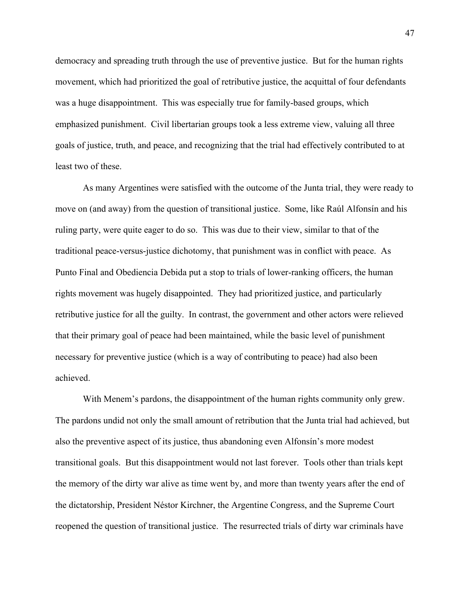democracy and spreading truth through the use of preventive justice. But for the human rights movement, which had prioritized the goal of retributive justice, the acquittal of four defendants was a huge disappointment. This was especially true for family-based groups, which emphasized punishment. Civil libertarian groups took a less extreme view, valuing all three goals of justice, truth, and peace, and recognizing that the trial had effectively contributed to at least two of these.

As many Argentines were satisfied with the outcome of the Junta trial, they were ready to move on (and away) from the question of transitional justice. Some, like Raúl Alfonsín and his ruling party, were quite eager to do so. This was due to their view, similar to that of the traditional peace-versus-justice dichotomy, that punishment was in conflict with peace. As Punto Final and Obediencia Debida put a stop to trials of lower-ranking officers, the human rights movement was hugely disappointed. They had prioritized justice, and particularly retributive justice for all the guilty. In contrast, the government and other actors were relieved that their primary goal of peace had been maintained, while the basic level of punishment necessary for preventive justice (which is a way of contributing to peace) had also been achieved.

With Menem's pardons, the disappointment of the human rights community only grew. The pardons undid not only the small amount of retribution that the Junta trial had achieved, but also the preventive aspect of its justice, thus abandoning even Alfonsín's more modest transitional goals. But this disappointment would not last forever. Tools other than trials kept the memory of the dirty war alive as time went by, and more than twenty years after the end of the dictatorship, President Néstor Kirchner, the Argentine Congress, and the Supreme Court reopened the question of transitional justice. The resurrected trials of dirty war criminals have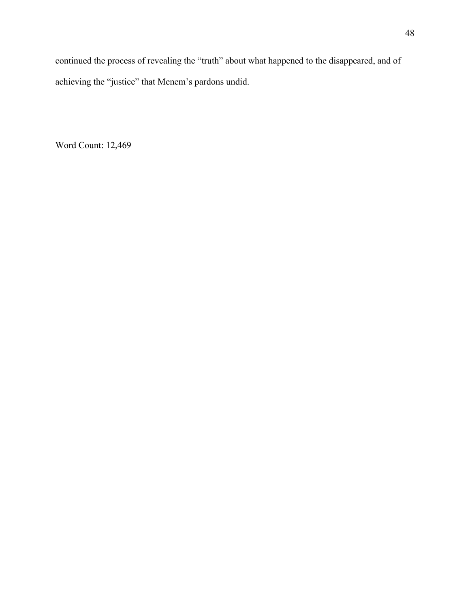continued the process of revealing the "truth" about what happened to the disappeared, and of achieving the "justice" that Menem's pardons undid.

Word Count: 12,469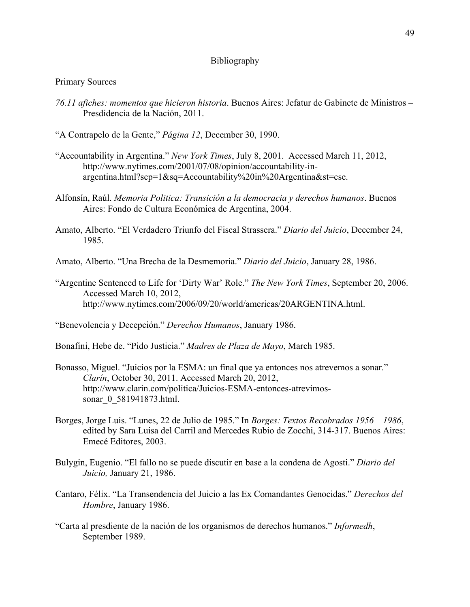## Bibliography

#### Primary Sources

- *76.11 afiches: momentos que hicieron historia*. Buenos Aires: Jefatur de Gabinete de Ministros Presdidencia de la Nación, 2011.
- "A Contrapelo de la Gente," *Página 12*, December 30, 1990.
- "Accountability in Argentina." *New York Times*, July 8, 2001. Accessed March 11, 2012, http://www.nytimes.com/2001/07/08/opinion/accountability-inargentina.html?scp=1&sq=Accountability%20in%20Argentina&st=cse.
- Alfonsín, Raúl. *Memoria Politica: Transición a la democracia y derechos humanos*. Buenos Aires: Fondo de Cultura Económica de Argentina, 2004.
- Amato, Alberto. "El Verdadero Triunfo del Fiscal Strassera." *Diario del Juicio*, December 24, 1985.
- Amato, Alberto. "Una Brecha de la Desmemoria." *Diario del Juicio*, January 28, 1986.
- "Argentine Sentenced to Life for 'Dirty War' Role." *The New York Times*, September 20, 2006. Accessed March 10, 2012, http://www.nytimes.com/2006/09/20/world/americas/20ARGENTINA.html.

"Benevolencia y Decepción." *Derechos Humanos*, January 1986.

Bonafini, Hebe de. "Pido Justicia." *Madres de Plaza de Mayo*, March 1985.

- Bonasso, Miguel. "Juicios por la ESMA: un final que ya entonces nos atrevemos a sonar." *Clarín*, October 30, 2011. Accessed March 20, 2012, http://www.clarin.com/politica/Juicios-ESMA-entonces-atrevimossonar 0 581941873.html.
- Borges, Jorge Luis. "Lunes, 22 de Julio de 1985." In *Borges: Textos Recobrados 1956 1986*, edited by Sara Luisa del Carril and Mercedes Rubio de Zocchi, 314-317. Buenos Aires: Emecé Editores, 2003.
- Bulygin, Eugenio. "El fallo no se puede discutir en base a la condena de Agosti." *Diario del Juicio,* January 21, 1986.
- Cantaro, Félix. "La Transendencia del Juicio a las Ex Comandantes Genocidas." *Derechos del Hombre*, January 1986.
- "Carta al presdiente de la nación de los organismos de derechos humanos." *Informedh*, September 1989.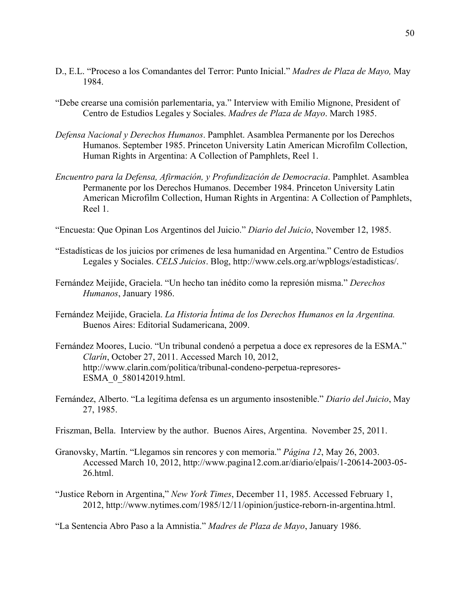- D., E.L. "Proceso a los Comandantes del Terror: Punto Inicial." *Madres de Plaza de Mayo,* May 1984.
- "Debe crearse una comisión parlementaria, ya." Interview with Emilio Mignone, President of Centro de Estudios Legales y Sociales. *Madres de Plaza de Mayo*. March 1985.
- *Defensa Nacional y Derechos Humanos*. Pamphlet. Asamblea Permanente por los Derechos Humanos. September 1985. Princeton University Latin American Microfilm Collection, Human Rights in Argentina: A Collection of Pamphlets, Reel 1.
- *Encuentro para la Defensa, Afirmación, y Profundización de Democracia*. Pamphlet. Asamblea Permanente por los Derechos Humanos. December 1984. Princeton University Latin American Microfilm Collection, Human Rights in Argentina: A Collection of Pamphlets, Reel 1.
- "Encuesta: Que Opinan Los Argentinos del Juicio." *Diario del Juicio*, November 12, 1985.
- "Estadísticas de los juicios por crímenes de lesa humanidad en Argentina." Centro de Estudios Legales y Sociales. *CELS Juicios*. Blog, http://www.cels.org.ar/wpblogs/estadisticas/.
- Fernández Meijide, Graciela. "Un hecho tan inédito como la represión misma." *Derechos Humanos*, January 1986.
- Fernández Meijide, Graciela. *La Historia Íntima de los Derechos Humanos en la Argentina.* Buenos Aires: Editorial Sudamericana, 2009.
- Fernández Moores, Lucio. "Un tribunal condenó a perpetua a doce ex represores de la ESMA." *Clarín*, October 27, 2011. Accessed March 10, 2012, http://www.clarin.com/politica/tribunal-condeno-perpetua-represores-ESMA\_0\_580142019.html.
- Fernández, Alberto. "La legítima defensa es un argumento insostenible." *Diario del Juicio*, May 27, 1985.
- Friszman, Bella. Interview by the author. Buenos Aires, Argentina. November 25, 2011.
- Granovsky, Martín. "Llegamos sin rencores y con memoria." *Página 12*, May 26, 2003. Accessed March 10, 2012, http://www.pagina12.com.ar/diario/elpais/1-20614-2003-05- 26.html.
- "Justice Reborn in Argentina," *New York Times*, December 11, 1985. Accessed February 1, 2012, http://www.nytimes.com/1985/12/11/opinion/justice-reborn-in-argentina.html.

"La Sentencia Abro Paso a la Amnistia." *Madres de Plaza de Mayo*, January 1986.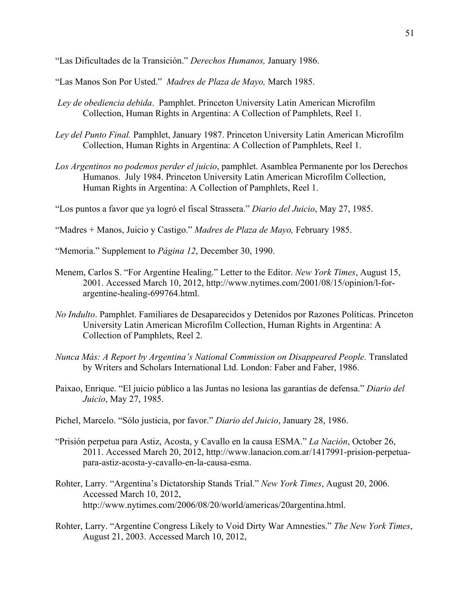"Las Dificultades de la Transición." *Derechos Humanos,* January 1986.

"Las Manos Son Por Usted." *Madres de Plaza de Mayo,* March 1985.

- *Ley de obediencia debida*. Pamphlet. Princeton University Latin American Microfilm Collection, Human Rights in Argentina: A Collection of Pamphlets, Reel 1.
- *Ley del Punto Final.* Pamphlet, January 1987. Princeton University Latin American Microfilm Collection, Human Rights in Argentina: A Collection of Pamphlets, Reel 1.
- *Los Argentinos no podemos perder el juicio*, pamphlet. Asamblea Permanente por los Derechos Humanos. July 1984. Princeton University Latin American Microfilm Collection, Human Rights in Argentina: A Collection of Pamphlets, Reel 1.

"Los puntos a favor que ya logró el fiscal Strassera." *Diario del Juicio*, May 27, 1985.

"Madres + Manos, Juicio y Castigo." *Madres de Plaza de Mayo,* February 1985.

"Memoria." Supplement to *Página 12*, December 30, 1990.

- Menem, Carlos S. "For Argentine Healing." Letter to the Editor. *New York Times*, August 15, 2001. Accessed March 10, 2012, http://www.nytimes.com/2001/08/15/opinion/l-forargentine-healing-699764.html.
- *No Indulto*. Pamphlet. Familiares de Desaparecidos y Detenidos por Razones Políticas. Princeton University Latin American Microfilm Collection, Human Rights in Argentina: A Collection of Pamphlets, Reel 2.
- *Nunca Más: A Report by Argentina's National Commission on Disappeared People.* Translated by Writers and Scholars International Ltd. London: Faber and Faber, 1986.
- Paixao, Enrique. "El juicio público a las Juntas no lesiona las garantías de defensa." *Diario del Juicio*, May 27, 1985.
- Pichel, Marcelo. "Sólo justicia, por favor." *Diario del Juicio*, January 28, 1986.
- "Prisión perpetua para Astiz, Acosta, y Cavallo en la causa ESMA." *La Nación*, October 26, 2011. Accessed March 20, 2012, http://www.lanacion.com.ar/1417991-prision-perpetuapara-astiz-acosta-y-cavallo-en-la-causa-esma.
- Rohter, Larry. "Argentina's Dictatorship Stands Trial." *New York Times*, August 20, 2006. Accessed March 10, 2012, http://www.nytimes.com/2006/08/20/world/americas/20argentina.html.
- Rohter, Larry. "Argentine Congress Likely to Void Dirty War Amnesties." *The New York Times*, August 21, 2003. Accessed March 10, 2012,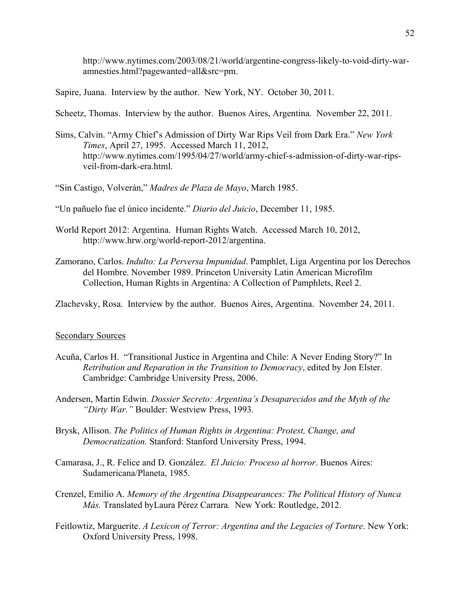http://www.nytimes.com/2003/08/21/world/argentine-congress-likely-to-void-dirty-waramnesties.html?pagewanted=all&src=pm.

Sapire, Juana. Interview by the author. New York, NY. October 30, 2011.

Scheetz, Thomas. Interview by the author. Buenos Aires, Argentina. November 22, 2011.

Sims, Calvin. "Army Chief's Admission of Dirty War Rips Veil from Dark Era." *New York Times*, April 27, 1995. Accessed March 11, 2012, http://www.nytimes.com/1995/04/27/world/army-chief-s-admission-of-dirty-war-ripsveil-from-dark-era.html.

"Sin Castigo, Volverán," *Madres de Plaza de Mayo*, March 1985.

"Un pañuelo fue el único incidente." *Diario del Juicio*, December 11, 1985.

- World Report 2012: Argentina. Human Rights Watch. Accessed March 10, 2012, http://www.hrw.org/world-report-2012/argentina.
- Zamorano, Carlos. *Indulto: La Perversa Impunidad*. Pamphlet, Liga Argentina por los Derechos del Hombre. November 1989. Princeton University Latin American Microfilm Collection, Human Rights in Argentina: A Collection of Pamphlets, Reel 2.

Zlachevsky, Rosa. Interview by the author. Buenos Aires, Argentina. November 24, 2011.

#### Secondary Sources

- Acuña, Carlos H. "Transitional Justice in Argentina and Chile: A Never Ending Story?" In *Retribution and Reparation in the Transition to Democracy*, edited by Jon Elster. Cambridge: Cambridge University Press, 2006.
- Andersen, Martin Edwin. *Dossier Secreto: Argentina's Desaparecidos and the Myth of the "Dirty War."* Boulder: Westview Press, 1993.
- Brysk, Allison. *The Politics of Human Rights in Argentina: Protest, Change, and Democratization.* Stanford: Stanford University Press, 1994.
- Camarasa, J., R. Felice and D. González. *El Juicio: Proceso al horror*. Buenos Aires: Sudamericana/Planeta, 1985.
- Crenzel, Emilio A. *Memory of the Argentina Disappearances: The Political History of Nunca Más.* Translated byLaura Pérez Carrara*.* New York: Routledge, 2012.
- Feitlowtiz, Marguerite. *A Lexicon of Terror: Argentina and the Legacies of Torture*. New York: Oxford University Press, 1998.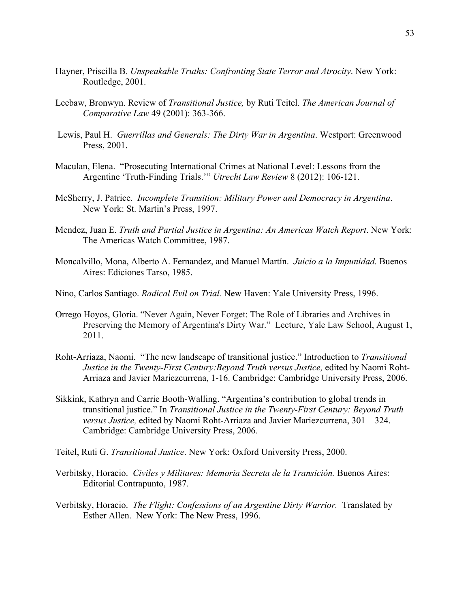- Hayner, Priscilla B. *Unspeakable Truths: Confronting State Terror and Atrocity*. New York: Routledge, 2001.
- Leebaw, Bronwyn. Review of *Transitional Justice,* by Ruti Teitel. *The American Journal of Comparative Law* 49 (2001): 363-366.
- Lewis, Paul H. *Guerrillas and Generals: The Dirty War in Argentina*. Westport: Greenwood Press, 2001.
- Maculan, Elena. "Prosecuting International Crimes at National Level: Lessons from the Argentine 'Truth-Finding Trials.'" *Utrecht Law Review* 8 (2012): 106-121.
- McSherry, J. Patrice. *Incomplete Transition: Military Power and Democracy in Argentina*. New York: St. Martin's Press, 1997.
- Mendez, Juan E. *Truth and Partial Justice in Argentina: An Americas Watch Report*. New York: The Americas Watch Committee, 1987.
- Moncalvillo, Mona, Alberto A. Fernandez, and Manuel Martín. *Juicio a la Impunidad.* Buenos Aires: Ediciones Tarso, 1985.
- Nino, Carlos Santiago. *Radical Evil on Trial.* New Haven: Yale University Press, 1996.
- Orrego Hoyos, Gloria. "Never Again, Never Forget: The Role of Libraries and Archives in Preserving the Memory of Argentina's Dirty War." Lecture, Yale Law School, August 1, 2011.
- Roht-Arriaza, Naomi. "The new landscape of transitional justice." Introduction to *Transitional Justice in the Twenty-First Century: Beyond Truth versus Justice, edited by Naomi Roht-*Arriaza and Javier Mariezcurrena, 1-16. Cambridge: Cambridge University Press, 2006.
- Sikkink, Kathryn and Carrie Booth-Walling. "Argentina's contribution to global trends in transitional justice." In *Transitional Justice in the Twenty-First Century: Beyond Truth versus Justice,* edited by Naomi Roht-Arriaza and Javier Mariezcurrena, 301 – 324. Cambridge: Cambridge University Press, 2006.
- Teitel, Ruti G. *Transitional Justice*. New York: Oxford University Press, 2000.
- Verbitsky, Horacio. *Civiles y Militares: Memoria Secreta de la Transición.* Buenos Aires: Editorial Contrapunto, 1987.
- Verbitsky, Horacio. *The Flight: Confessions of an Argentine Dirty Warrior.* Translated by Esther Allen. New York: The New Press, 1996.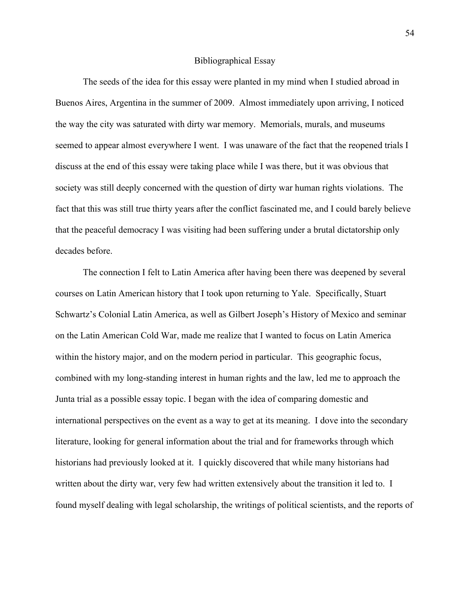#### Bibliographical Essay

The seeds of the idea for this essay were planted in my mind when I studied abroad in Buenos Aires, Argentina in the summer of 2009. Almost immediately upon arriving, I noticed the way the city was saturated with dirty war memory. Memorials, murals, and museums seemed to appear almost everywhere I went. I was unaware of the fact that the reopened trials I discuss at the end of this essay were taking place while I was there, but it was obvious that society was still deeply concerned with the question of dirty war human rights violations. The fact that this was still true thirty years after the conflict fascinated me, and I could barely believe that the peaceful democracy I was visiting had been suffering under a brutal dictatorship only decades before.

The connection I felt to Latin America after having been there was deepened by several courses on Latin American history that I took upon returning to Yale. Specifically, Stuart Schwartz's Colonial Latin America, as well as Gilbert Joseph's History of Mexico and seminar on the Latin American Cold War, made me realize that I wanted to focus on Latin America within the history major, and on the modern period in particular. This geographic focus, combined with my long-standing interest in human rights and the law, led me to approach the Junta trial as a possible essay topic. I began with the idea of comparing domestic and international perspectives on the event as a way to get at its meaning. I dove into the secondary literature, looking for general information about the trial and for frameworks through which historians had previously looked at it. I quickly discovered that while many historians had written about the dirty war, very few had written extensively about the transition it led to. I found myself dealing with legal scholarship, the writings of political scientists, and the reports of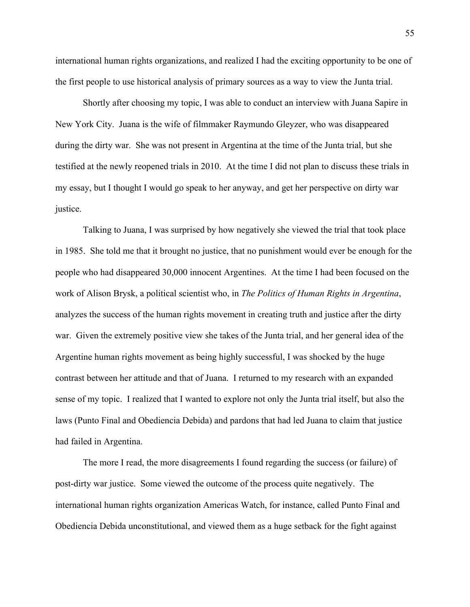international human rights organizations, and realized I had the exciting opportunity to be one of the first people to use historical analysis of primary sources as a way to view the Junta trial.

Shortly after choosing my topic, I was able to conduct an interview with Juana Sapire in New York City. Juana is the wife of filmmaker Raymundo Gleyzer, who was disappeared during the dirty war. She was not present in Argentina at the time of the Junta trial, but she testified at the newly reopened trials in 2010. At the time I did not plan to discuss these trials in my essay, but I thought I would go speak to her anyway, and get her perspective on dirty war justice.

Talking to Juana, I was surprised by how negatively she viewed the trial that took place in 1985. She told me that it brought no justice, that no punishment would ever be enough for the people who had disappeared 30,000 innocent Argentines. At the time I had been focused on the work of Alison Brysk, a political scientist who, in *The Politics of Human Rights in Argentina*, analyzes the success of the human rights movement in creating truth and justice after the dirty war. Given the extremely positive view she takes of the Junta trial, and her general idea of the Argentine human rights movement as being highly successful, I was shocked by the huge contrast between her attitude and that of Juana. I returned to my research with an expanded sense of my topic. I realized that I wanted to explore not only the Junta trial itself, but also the laws (Punto Final and Obediencia Debida) and pardons that had led Juana to claim that justice had failed in Argentina.

The more I read, the more disagreements I found regarding the success (or failure) of post-dirty war justice. Some viewed the outcome of the process quite negatively. The international human rights organization Americas Watch, for instance, called Punto Final and Obediencia Debida unconstitutional, and viewed them as a huge setback for the fight against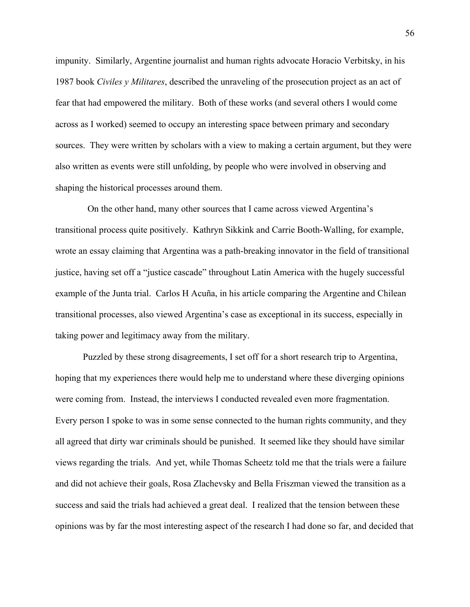impunity. Similarly, Argentine journalist and human rights advocate Horacio Verbitsky, in his 1987 book *Civiles y Militares*, described the unraveling of the prosecution project as an act of fear that had empowered the military. Both of these works (and several others I would come across as I worked) seemed to occupy an interesting space between primary and secondary sources. They were written by scholars with a view to making a certain argument, but they were also written as events were still unfolding, by people who were involved in observing and shaping the historical processes around them.

 On the other hand, many other sources that I came across viewed Argentina's transitional process quite positively. Kathryn Sikkink and Carrie Booth-Walling, for example, wrote an essay claiming that Argentina was a path-breaking innovator in the field of transitional justice, having set off a "justice cascade" throughout Latin America with the hugely successful example of the Junta trial. Carlos H Acuña, in his article comparing the Argentine and Chilean transitional processes, also viewed Argentina's case as exceptional in its success, especially in taking power and legitimacy away from the military.

Puzzled by these strong disagreements, I set off for a short research trip to Argentina, hoping that my experiences there would help me to understand where these diverging opinions were coming from. Instead, the interviews I conducted revealed even more fragmentation. Every person I spoke to was in some sense connected to the human rights community, and they all agreed that dirty war criminals should be punished. It seemed like they should have similar views regarding the trials. And yet, while Thomas Scheetz told me that the trials were a failure and did not achieve their goals, Rosa Zlachevsky and Bella Friszman viewed the transition as a success and said the trials had achieved a great deal. I realized that the tension between these opinions was by far the most interesting aspect of the research I had done so far, and decided that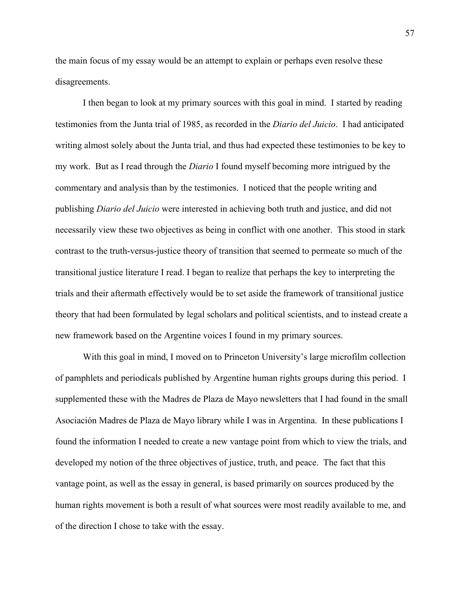the main focus of my essay would be an attempt to explain or perhaps even resolve these disagreements.

I then began to look at my primary sources with this goal in mind. I started by reading testimonies from the Junta trial of 1985, as recorded in the *Diario del Juicio*. I had anticipated writing almost solely about the Junta trial, and thus had expected these testimonies to be key to my work. But as I read through the *Diario* I found myself becoming more intrigued by the commentary and analysis than by the testimonies. I noticed that the people writing and publishing *Diario del Juicio* were interested in achieving both truth and justice, and did not necessarily view these two objectives as being in conflict with one another. This stood in stark contrast to the truth-versus-justice theory of transition that seemed to permeate so much of the transitional justice literature I read. I began to realize that perhaps the key to interpreting the trials and their aftermath effectively would be to set aside the framework of transitional justice theory that had been formulated by legal scholars and political scientists, and to instead create a new framework based on the Argentine voices I found in my primary sources.

With this goal in mind, I moved on to Princeton University's large microfilm collection of pamphlets and periodicals published by Argentine human rights groups during this period. I supplemented these with the Madres de Plaza de Mayo newsletters that I had found in the small Asociación Madres de Plaza de Mayo library while I was in Argentina. In these publications I found the information I needed to create a new vantage point from which to view the trials, and developed my notion of the three objectives of justice, truth, and peace. The fact that this vantage point, as well as the essay in general, is based primarily on sources produced by the human rights movement is both a result of what sources were most readily available to me, and of the direction I chose to take with the essay.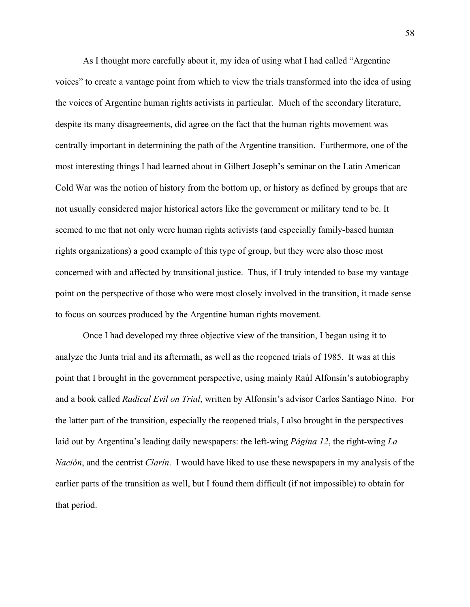As I thought more carefully about it, my idea of using what I had called "Argentine voices" to create a vantage point from which to view the trials transformed into the idea of using the voices of Argentine human rights activists in particular. Much of the secondary literature, despite its many disagreements, did agree on the fact that the human rights movement was centrally important in determining the path of the Argentine transition. Furthermore, one of the most interesting things I had learned about in Gilbert Joseph's seminar on the Latin American Cold War was the notion of history from the bottom up, or history as defined by groups that are not usually considered major historical actors like the government or military tend to be. It seemed to me that not only were human rights activists (and especially family-based human rights organizations) a good example of this type of group, but they were also those most concerned with and affected by transitional justice. Thus, if I truly intended to base my vantage point on the perspective of those who were most closely involved in the transition, it made sense to focus on sources produced by the Argentine human rights movement.

Once I had developed my three objective view of the transition, I began using it to analyze the Junta trial and its aftermath, as well as the reopened trials of 1985. It was at this point that I brought in the government perspective, using mainly Raúl Alfonsín's autobiography and a book called *Radical Evil on Trial*, written by Alfonsín's advisor Carlos Santiago Nino. For the latter part of the transition, especially the reopened trials, I also brought in the perspectives laid out by Argentina's leading daily newspapers: the left-wing *Página 12*, the right-wing *La Nación*, and the centrist *Clarín*. I would have liked to use these newspapers in my analysis of the earlier parts of the transition as well, but I found them difficult (if not impossible) to obtain for that period.